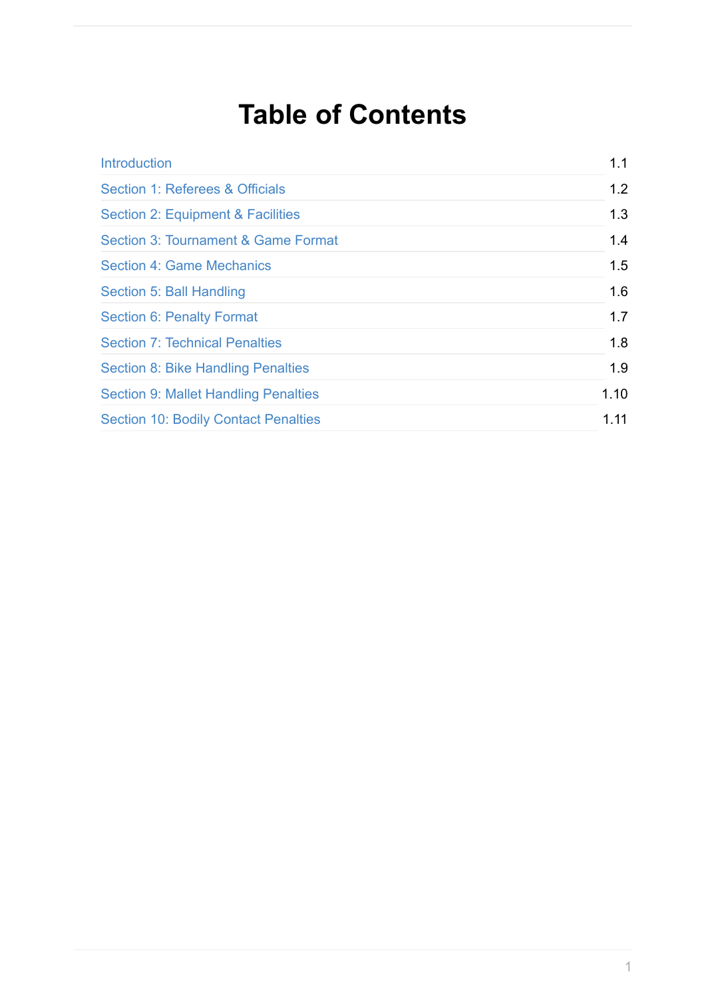# **Table of Contents**

| <b>Introduction</b>                         | 1.1  |
|---------------------------------------------|------|
| Section 1: Referees & Officials             | 1.2  |
| Section 2: Equipment & Facilities           | 1.3  |
| Section 3: Tournament & Game Format         | 1.4  |
| <b>Section 4: Game Mechanics</b>            | 1.5  |
| Section 5: Ball Handling                    | 1.6  |
| <b>Section 6: Penalty Format</b>            | 1.7  |
| <b>Section 7: Technical Penalties</b>       | 1.8  |
| <b>Section 8: Bike Handling Penalties</b>   | 1.9  |
| <b>Section 9: Mallet Handling Penalties</b> | 1.10 |
| <b>Section 10: Bodily Contact Penalties</b> | 1.11 |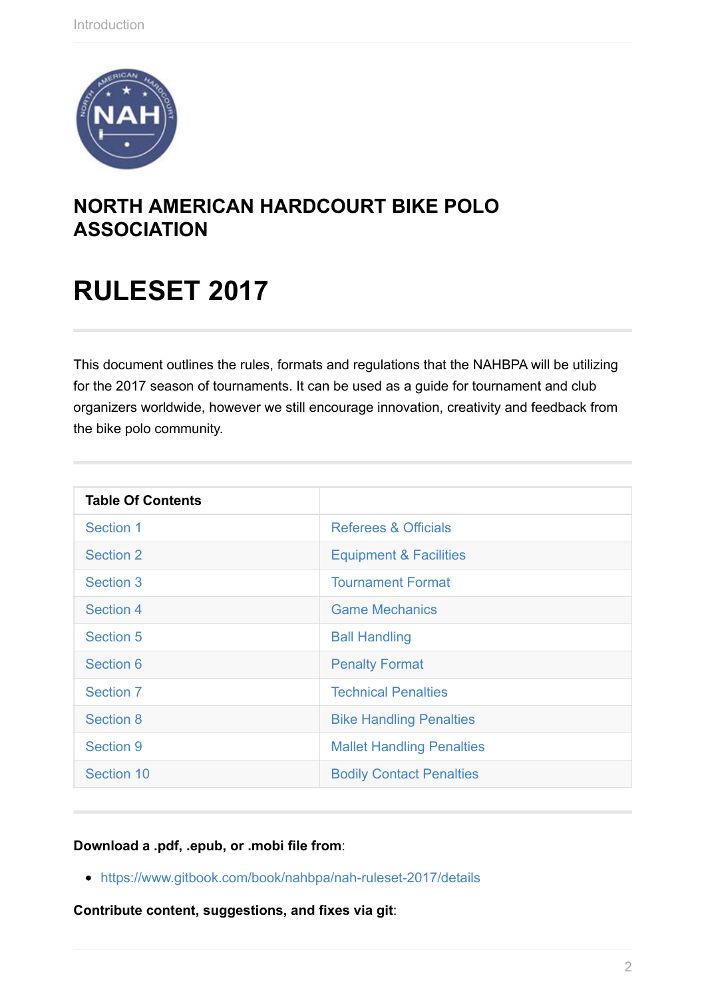<span id="page-1-0"></span>

## **NORTH AMERICAN HARDCOURT BIKE POLO ASSOCIATION**

# **RULESET 2017**

This document outlines the rules, formats and regulations that the NAHBPA will be utilizing for the 2017 season of tournaments. It can be used as a guide for tournament and club organizers worldwide, however we still encourage innovation, creativity and feedback from the bike polo community.

| <b>Table Of Contents</b> |                                   |
|--------------------------|-----------------------------------|
| Section 1                | Referees & Officials              |
| <b>Section 2</b>         | <b>Equipment &amp; Facilities</b> |
| Section 3                | <b>Tournament Format</b>          |
| Section 4                | <b>Game Mechanics</b>             |
| <b>Section 5</b>         | <b>Ball Handling</b>              |
| Section 6                | <b>Penalty Format</b>             |
| <b>Section 7</b>         | <b>Technical Penalties</b>        |
| <b>Section 8</b>         | <b>Bike Handling Penalties</b>    |
| <b>Section 9</b>         | <b>Mallet Handling Penalties</b>  |
| Section 10               | <b>Bodily Contact Penalties</b>   |

**D[ownload](#page-34-0) a .pdf, .epub, or .mobi file fro[m](#page-34-0)**:

https://www.gitbook.com/book/nahbpa/nah-ruleset-2017/details

**Contribute content, suggestions, and fixes via git**: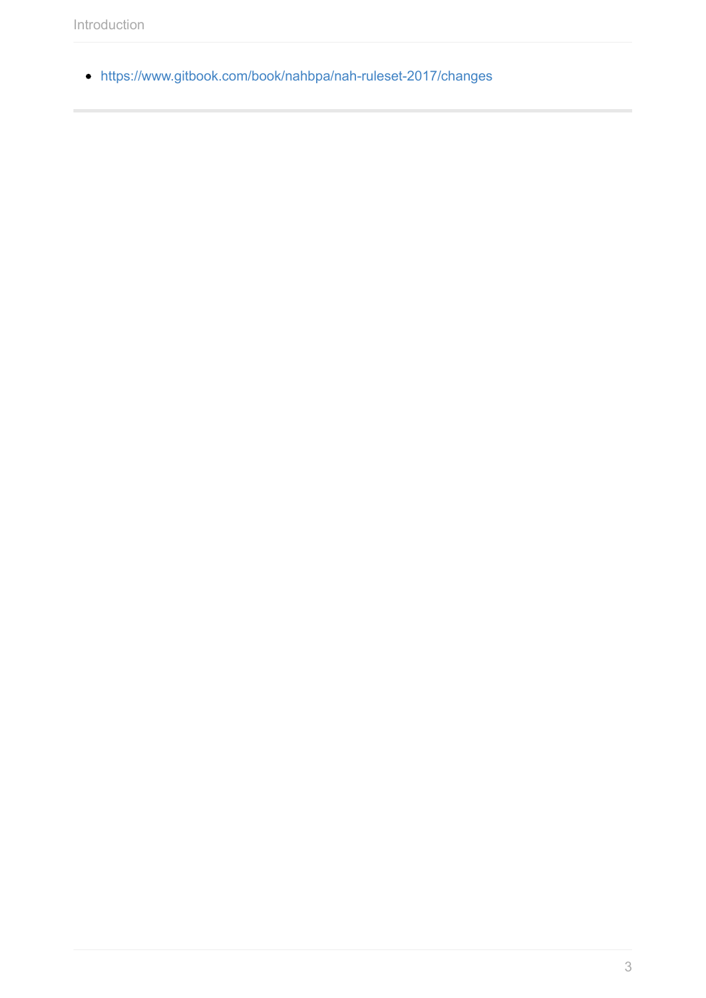https://www.gitbook.com/book/nahbpa/nah-ruleset-2017/changes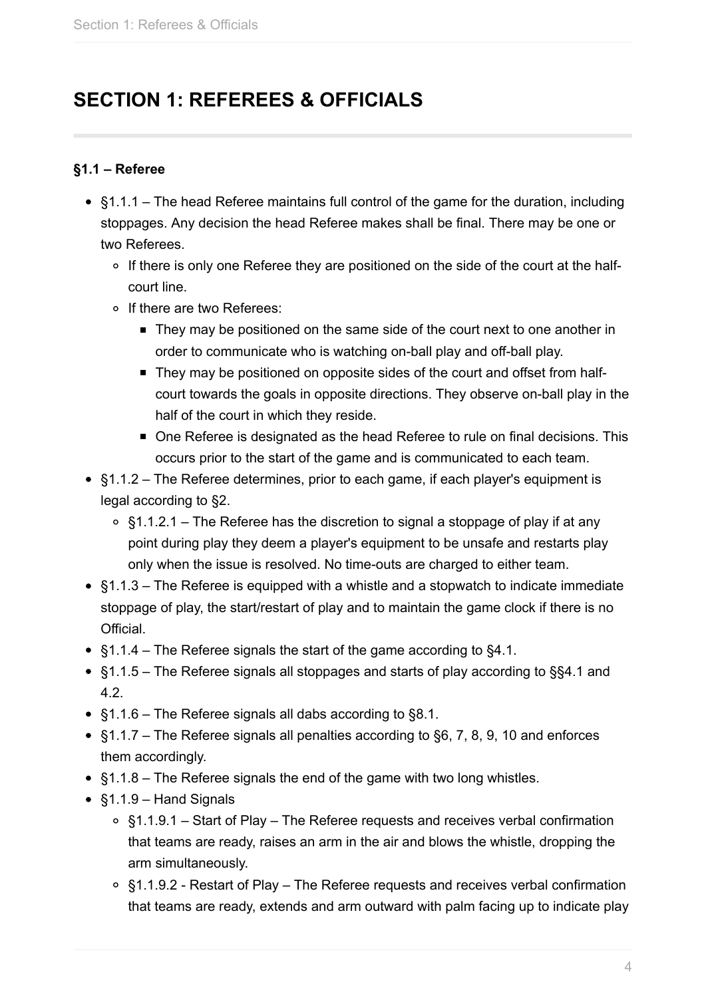## <span id="page-3-0"></span>**SECTION 1: REFEREES & OFFICIALS**

## **§1.1 – Referee**

- §1.1.1 The head Referee maintains full control of the game for the duration, including stoppages. Any decision the head Referee makes shall be final. There may be one or two Referees.
	- o If there is only one Referee they are positioned on the side of the court at the halfcourt line.
	- o If there are two Referees:
		- **They may be positioned on the same side of the court next to one another in** order to communicate who is watching on-ball play and off-ball play.
		- They may be positioned on opposite sides of the court and offset from halfcourt towards the goals in opposite directions. They observe on-ball play in the half of the court in which they reside.
		- One Referee is designated as the head Referee to rule on final decisions. This occurs prior to the start of the game and is communicated to each team.
- §1.1.2 The Referee determines, prior to each game, if each player's equipment is legal according to §2.
	- §1.1.2.1 The Referee has the discretion to signal a stoppage of play if at any point during play they deem a player's equipment to be unsafe and restarts play only when the issue is resolved. No time-outs are charged to either team.
- §1.1.3 The Referee is equipped with a whistle and a stopwatch to indicate immediate stoppage of play, the start/restart of play and to maintain the game clock if there is no Official.
- §1.1.4 The Referee signals the start of the game according to §4.1.
- §1.1.5 The Referee signals all stoppages and starts of play according to §§4.1 and 4.2.
- §1.1.6 The Referee signals all dabs according to §8.1.
- §1.1.7 The Referee signals all penalties according to §6, 7, 8, 9, 10 and enforces them accordingly.
- §1.1.8 The Referee signals the end of the game with two long whistles.
- §1.1.9 Hand Signals
	- §1.1.9.1 Start of Play The Referee requests and receives verbal confirmation that teams are ready, raises an arm in the air and blows the whistle, dropping the arm simultaneously.
	- §1.1.9.2 Restart of Play The Referee requests and receives verbal confirmation that teams are ready, extends and arm outward with palm facing up to indicate play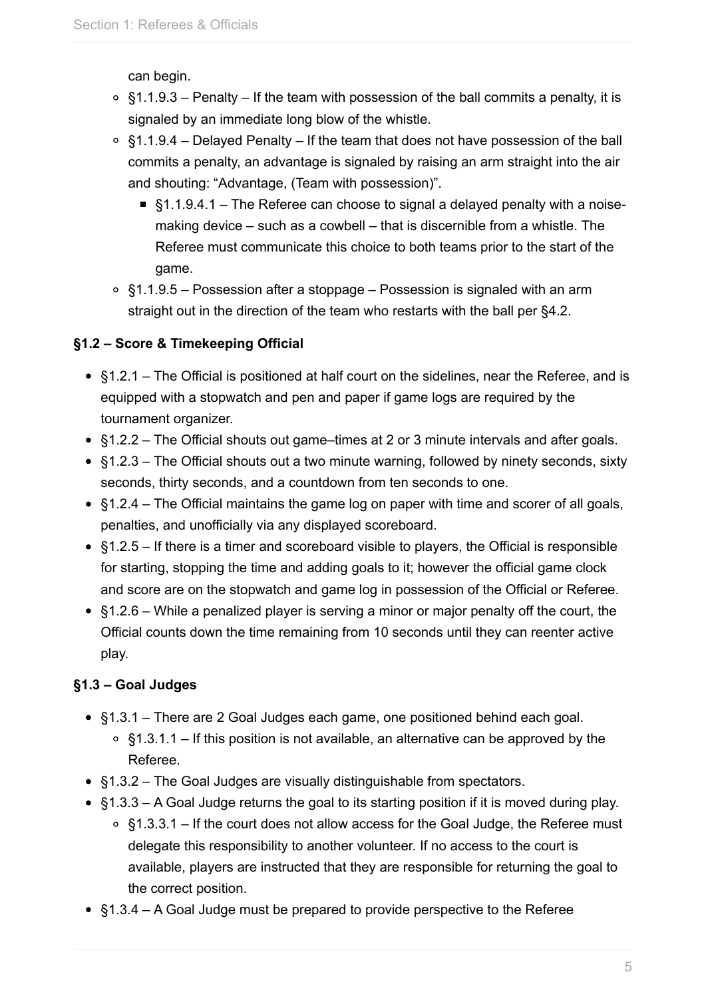can begin.

- $\circ$  \$1.1.9.3 Penalty If the team with possession of the ball commits a penalty, it is signaled by an immediate long blow of the whistle.
- $\circ$  §1.1.9.4 Delayed Penalty If the team that does not have possession of the ball commits a penalty, an advantage is signaled by raising an arm straight into the air and shouting: "Advantage, (Team with possession)".
	- §1.1.9.4.1 The Referee can choose to signal a delayed penalty with a noisemaking device – such as a cowbell – that is discernible from a whistle. The Referee must communicate this choice to both teams prior to the start of the game.
- $\circ$  §1.1.9.5 Possession after a stoppage Possession is signaled with an arm straight out in the direction of the team who restarts with the ball per §4.2.

## **§1.2 – Score & Timekeeping Official**

- §1.2.1 The Official is positioned at half court on the sidelines, near the Referee, and is equipped with a stopwatch and pen and paper if game logs are required by the tournament organizer.
- §1.2.2 The Official shouts out game–times at 2 or 3 minute intervals and after goals.
- §1.2.3 The Official shouts out a two minute warning, followed by ninety seconds, sixty seconds, thirty seconds, and a countdown from ten seconds to one.
- §1.2.4 The Official maintains the game log on paper with time and scorer of all goals, penalties, and unofficially via any displayed scoreboard.
- §1.2.5 If there is a timer and scoreboard visible to players, the Official is responsible for starting, stopping the time and adding goals to it; however the official game clock and score are on the stopwatch and game log in possession of the Official or Referee.
- §1.2.6 While a penalized player is serving a minor or major penalty off the court, the Official counts down the time remaining from 10 seconds until they can reenter active play.

## **§1.3 – Goal Judges**

- §1.3.1 There are 2 Goal Judges each game, one positioned behind each goal.
	- $\circ$  §1.3.1.1 If this position is not available, an alternative can be approved by the Referee.
- §1.3.2 The Goal Judges are visually distinguishable from spectators.
- §1.3.3 A Goal Judge returns the goal to its starting position if it is moved during play.  $\circ$  §1.3.3.1 – If the court does not allow access for the Goal Judge, the Referee must delegate this responsibility to another volunteer. If no access to the court is available, players are instructed that they are responsible for returning the goal to the correct position.
- §1.3.4 A Goal Judge must be prepared to provide perspective to the Referee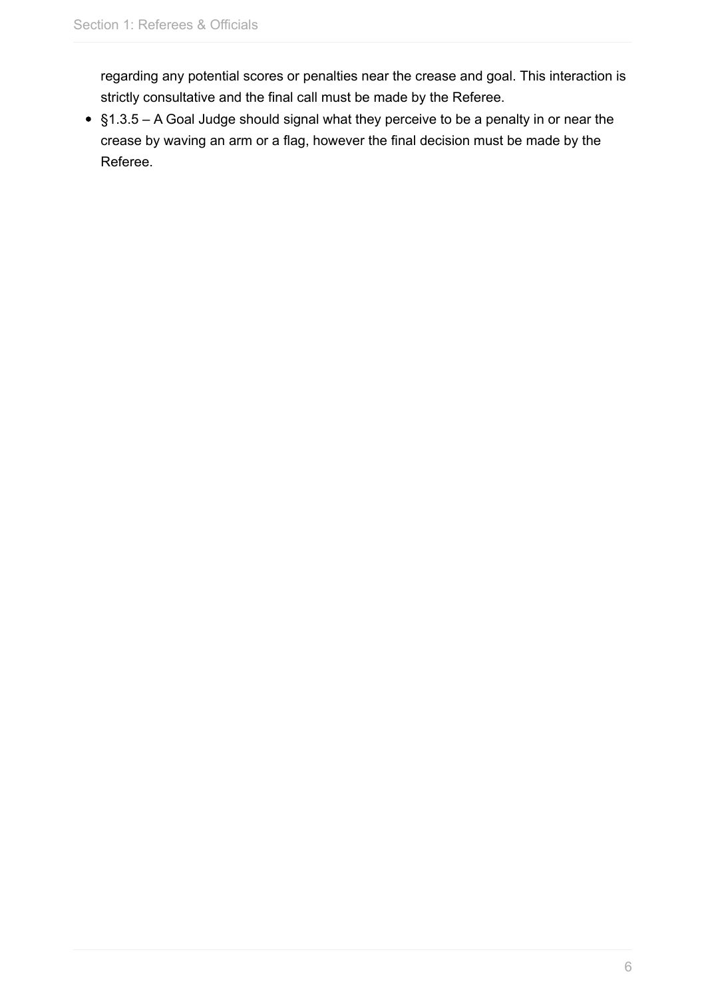regarding any potential scores or penalties near the crease and goal. This interaction is strictly consultative and the final call must be made by the Referee.

§1.3.5 – A Goal Judge should signal what they perceive to be a penalty in or near the crease by waving an arm or a flag, however the final decision must be made by the Referee.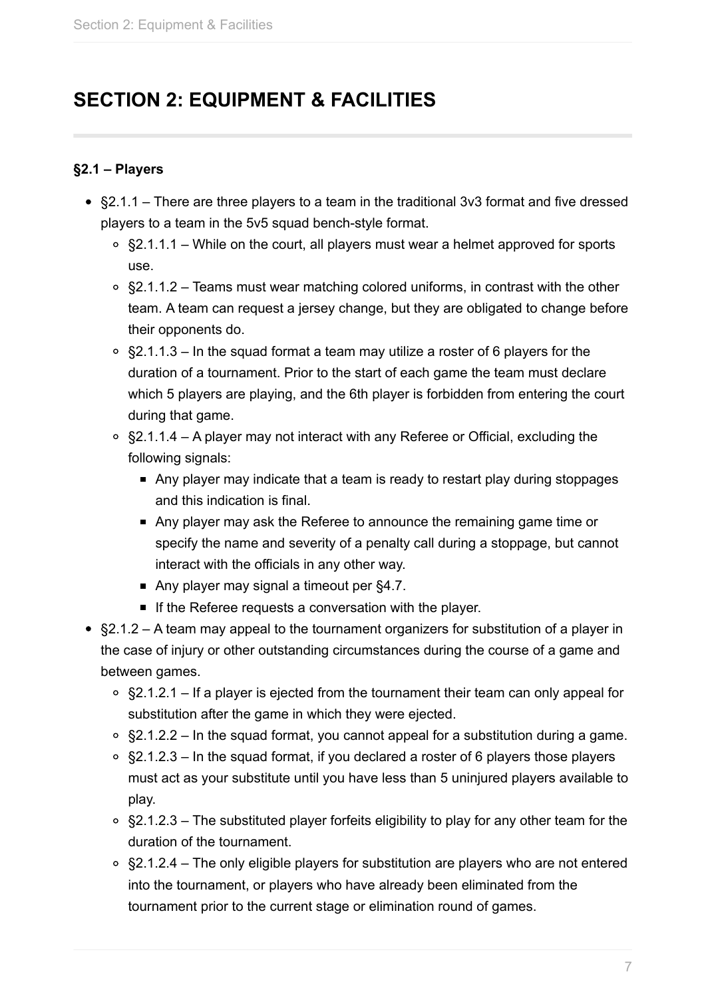## <span id="page-6-0"></span>**SECTION 2: EQUIPMENT & FACILITIES**

### **§2.1 – Players**

- §2.1.1 There are three players to a team in the traditional 3v3 format and five dressed players to a team in the 5v5 squad bench-style format.
	- $\circ$  §2.1.1.1 While on the court, all players must wear a helmet approved for sports use.
	- §2.1.1.2 Teams must wear matching colored uniforms, in contrast with the other team. A team can request a jersey change, but they are obligated to change before their opponents do.
	- §2.1.1.3 In the squad format a team may utilize a roster of 6 players for the duration of a tournament. Prior to the start of each game the team must declare which 5 players are playing, and the 6th player is forbidden from entering the court during that game.
	- §2.1.1.4 A player may not interact with any Referee or Official, excluding the following signals:
		- Any player may indicate that a team is ready to restart play during stoppages and this indication is final.
		- Any player may ask the Referee to announce the remaining game time or specify the name and severity of a penalty call during a stoppage, but cannot interact with the officials in any other way.
		- Any player may signal a timeout per §4.7.
		- If the Referee requests a conversation with the player.
- $\S 2.1.2 A$  team may appeal to the tournament organizers for substitution of a player in the case of injury or other outstanding circumstances during the course of a game and between games.
	- §2.1.2.1 If a player is ejected from the tournament their team can only appeal for substitution after the game in which they were ejected.
	- $\circ$  §2.1.2.2 In the squad format, you cannot appeal for a substitution during a game.
	- §2.1.2.3 In the squad format, if you declared a roster of 6 players those players must act as your substitute until you have less than 5 uninjured players available to play.
	- $\circ$  §2.1.2.3 The substituted player forfeits eligibility to play for any other team for the duration of the tournament.
	- §2.1.2.4 The only eligible players for substitution are players who are not entered into the tournament, or players who have already been eliminated from the tournament prior to the current stage or elimination round of games.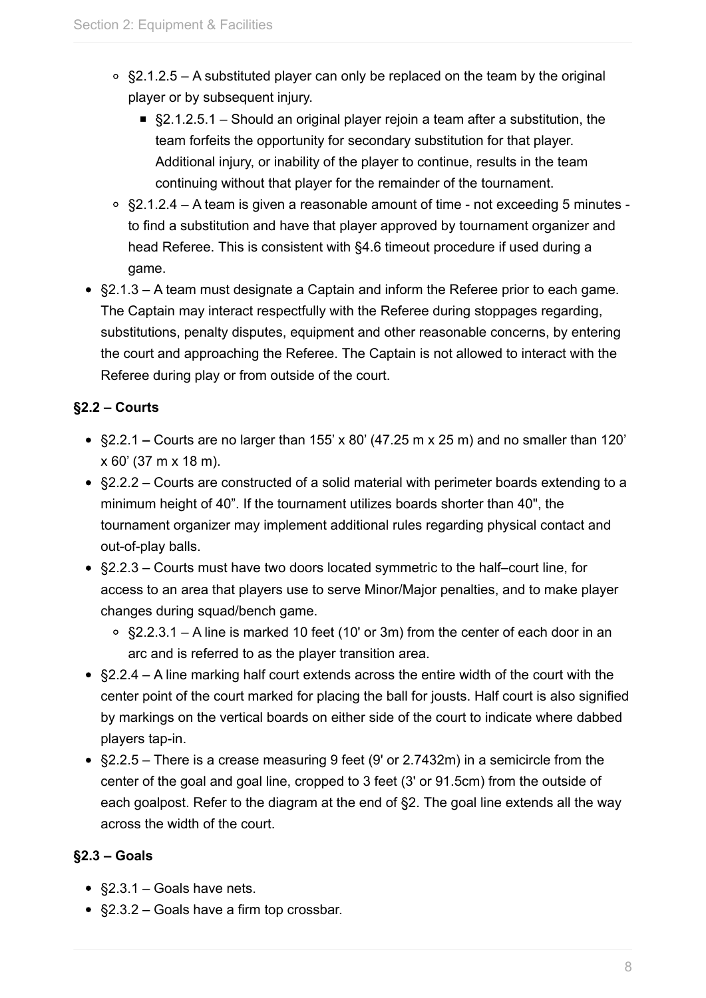- $\degree$  §2.1.2.5 A substituted player can only be replaced on the team by the original player or by subsequent injury.
	- §2.1.2.5.1 Should an original player rejoin a team after a substitution, the team forfeits the opportunity for secondary substitution for that player. Additional injury, or inability of the player to continue, results in the team continuing without that player for the remainder of the tournament.
- §2.1.2.4 A team is given a reasonable amount of time not exceeding 5 minutes to find a substitution and have that player approved by tournament organizer and head Referee. This is consistent with §4.6 timeout procedure if used during a game.
- §2.1.3 A team must designate a Captain and inform the Referee prior to each game. The Captain may interact respectfully with the Referee during stoppages regarding, substitutions, penalty disputes, equipment and other reasonable concerns, by entering the court and approaching the Referee. The Captain is not allowed to interact with the Referee during play or from outside of the court.

## **§2.2 – Courts**

- §2.2.1 **–** Courts are no larger than 155' x 80' (47.25 m x 25 m) and no smaller than 120' x 60' (37 m x 18 m).
- §2.2.2 Courts are constructed of a solid material with perimeter boards extending to a minimum height of 40". If the tournament utilizes boards shorter than 40", the tournament organizer may implement additional rules regarding physical contact and out-of-play balls.
- §2.2.3 Courts must have two doors located symmetric to the half–court line, for access to an area that players use to serve Minor/Major penalties, and to make player changes during squad/bench game.
	- §2.2.3.1 A line is marked 10 feet (10' or 3m) from the center of each door in an arc and is referred to as the player transition area.
- §2.2.4 A line marking half court extends across the entire width of the court with the center point of the court marked for placing the ball for jousts. Half court is also signified by markings on the vertical boards on either side of the court to indicate where dabbed players tap-in.
- §2.2.5 There is a crease measuring 9 feet (9' or 2.7432m) in a semicircle from the center of the goal and goal line, cropped to 3 feet (3' or 91.5cm) from the outside of each goalpost. Refer to the diagram at the end of §2. The goal line extends all the way across the width of the court.

## **§2.3 – Goals**

- §2.3.1 Goals have nets.
- §2.3.2 Goals have a firm top crossbar.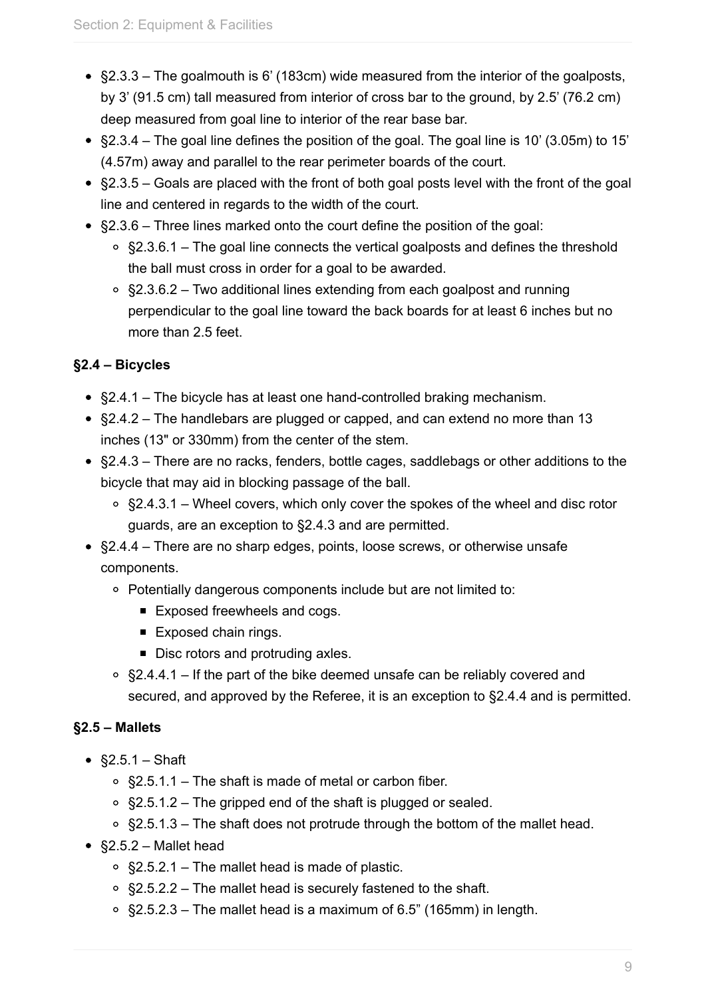- §2.3.3 The goalmouth is 6' (183cm) wide measured from the interior of the goalposts, by 3' (91.5 cm) tall measured from interior of cross bar to the ground, by 2.5' (76.2 cm) deep measured from goal line to interior of the rear base bar.
- $\S 2.3.4$  The goal line defines the position of the goal. The goal line is 10' (3.05m) to 15' (4.57m) away and parallel to the rear perimeter boards of the court.
- §2.3.5 Goals are placed with the front of both goal posts level with the front of the goal line and centered in regards to the width of the court.
- §2.3.6 Three lines marked onto the court define the position of the goal:
	- §2.3.6.1 The goal line connects the vertical goalposts and defines the threshold the ball must cross in order for a goal to be awarded.
	- $\circ$  §2.3.6.2 Two additional lines extending from each goalpost and running perpendicular to the goal line toward the back boards for at least 6 inches but no more than 2.5 feet.

## **§2.4 – Bicycles**

- §2.4.1 The bicycle has at least one hand-controlled braking mechanism.
- §2.4.2 The handlebars are plugged or capped, and can extend no more than 13 inches (13" or 330mm) from the center of the stem.
- §2.4.3 There are no racks, fenders, bottle cages, saddlebags or other additions to the bicycle that may aid in blocking passage of the ball.
	- $\circ$  §2.4.3.1 Wheel covers, which only cover the spokes of the wheel and disc rotor guards, are an exception to §2.4.3 and are permitted.
- §2.4.4 There are no sharp edges, points, loose screws, or otherwise unsafe components.
	- Potentially dangerous components include but are not limited to:
		- Exposed freewheels and cogs.
		- **Exposed chain rings.**
		- Disc rotors and protruding axles.
	- §2.4.4.1 If the part of the bike deemed unsafe can be reliably covered and secured, and approved by the Referee, it is an exception to §2.4.4 and is permitted.

## **§2.5 – Mallets**

- $\S2.5.1 Sh$ aft
	- §2.5.1.1 The shaft is made of metal or carbon fiber.
	- $\degree$  §2.5.1.2 The gripped end of the shaft is plugged or sealed.
	- $\circ$  §2.5.1.3 The shaft does not protrude through the bottom of the mallet head.
- §2.5.2 Mallet head
	- §2.5.2.1 The mallet head is made of plastic.
	- $\circ$  §2.5.2.2 The mallet head is securely fastened to the shaft.
	- §2.5.2.3 The mallet head is a maximum of 6.5" (165mm) in length.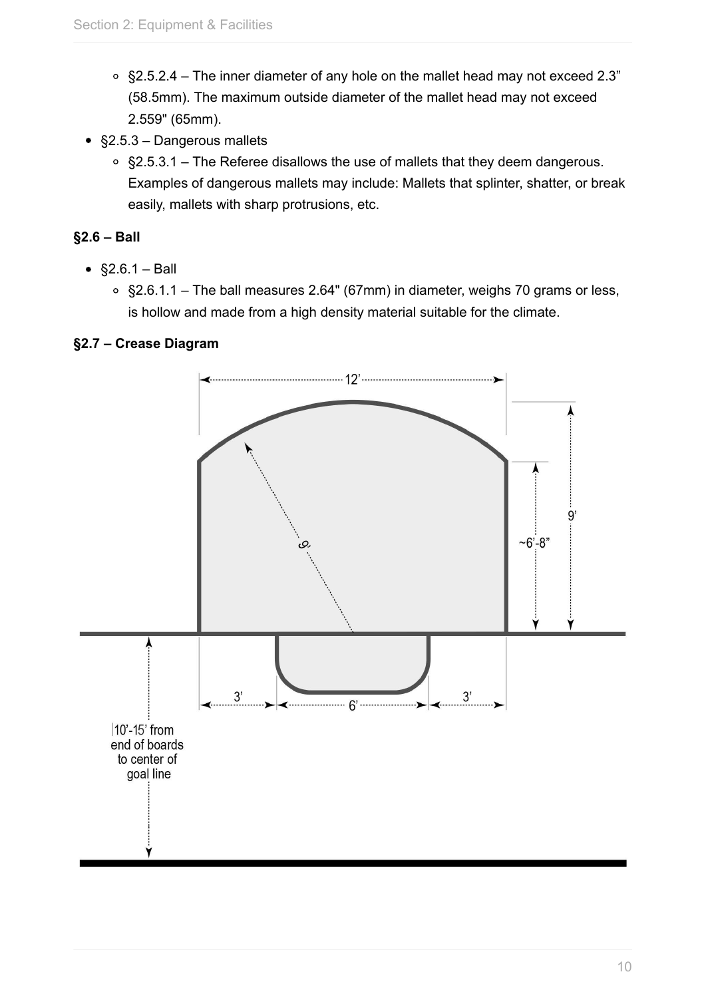- §2.5.2.4 The inner diameter of any hole on the mallet head may not exceed 2.3" (58.5mm). The maximum outside diameter of the mallet head may not exceed 2.559" (65mm).
- §2.5.3 Dangerous mallets
	- §2.5.3.1 The Referee disallows the use of mallets that they deem dangerous. Examples of dangerous mallets may include: Mallets that splinter, shatter, or break easily, mallets with sharp protrusions, etc.

## **§2.6 – Ball**

- $§2.6.1 Ball$ 
	- §2.6.1.1 The ball measures 2.64" (67mm) in diameter, weighs 70 grams or less, is hollow and made from a high density material suitable for the climate.

#### **§2.7 – Crease Diagram**

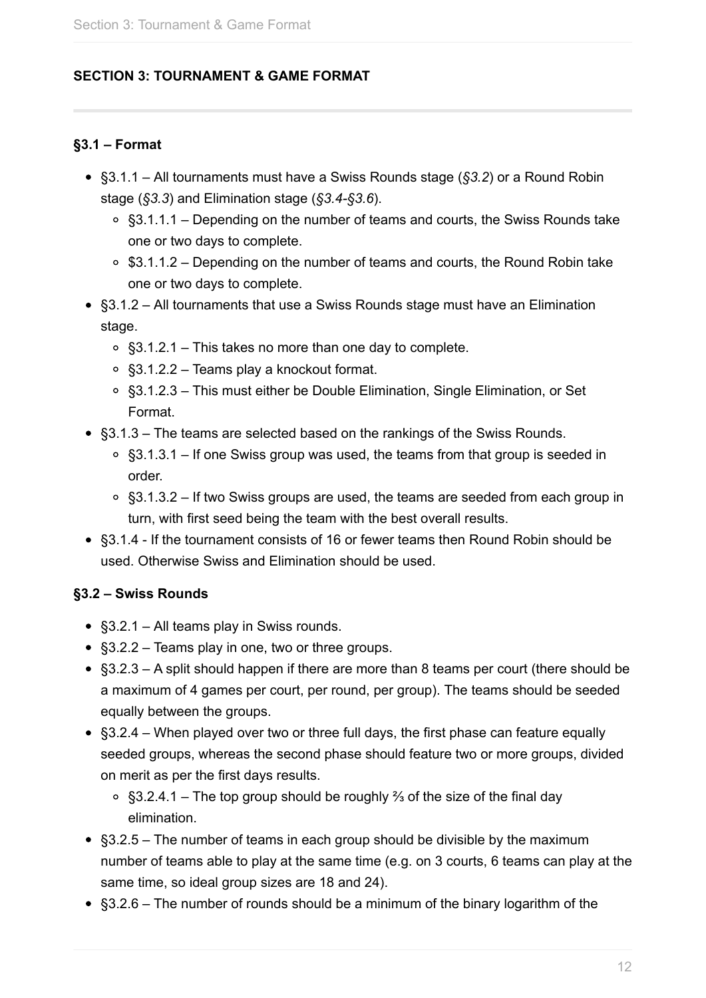#### <span id="page-11-0"></span>**SECTION 3: TOURNAMENT & GAME FORMAT**

#### **§3.1 – Format**

- §3.1.1 All tournaments must have a Swiss Rounds stage (*§3.2*) or a Round Robin stage (*§3.3*) and Elimination stage (*§3.4-§3.6*).
	- §3.1.1.1 Depending on the number of teams and courts, the Swiss Rounds take one or two days to complete.
	- $\circ$  \$3.1.1.2 Depending on the number of teams and courts, the Round Robin take one or two days to complete.
- §3.1.2 All tournaments that use a Swiss Rounds stage must have an Elimination stage.
	- §3.1.2.1 This takes no more than one day to complete.
	- §3.1.2.2 Teams play a knockout format.
	- §3.1.2.3 This must either be Double Elimination, Single Elimination, or Set Format.
- §3.1.3 The teams are selected based on the rankings of the Swiss Rounds.
	- $\circ$  §3.1.3.1 If one Swiss group was used, the teams from that group is seeded in order.
	- §3.1.3.2 If two Swiss groups are used, the teams are seeded from each group in turn, with first seed being the team with the best overall results.
- §3.1.4 If the tournament consists of 16 or fewer teams then Round Robin should be used. Otherwise Swiss and Elimination should be used.

#### **§3.2 – Swiss Rounds**

- §3.2.1 All teams play in Swiss rounds.
- §3.2.2 Teams play in one, two or three groups.
- §3.2.3 A split should happen if there are more than 8 teams per court (there should be a maximum of 4 games per court, per round, per group). The teams should be seeded equally between the groups.
- §3.2.4 When played over two or three full days, the first phase can feature equally seeded groups, whereas the second phase should feature two or more groups, divided on merit as per the first days results.
	- §3.2.4.1 The top group should be roughly ⅔ of the size of the final day elimination.
- §3.2.5 The number of teams in each group should be divisible by the maximum number of teams able to play at the same time (e.g. on 3 courts, 6 teams can play at the same time, so ideal group sizes are 18 and 24).
- §3.2.6 The number of rounds should be a minimum of the binary logarithm of the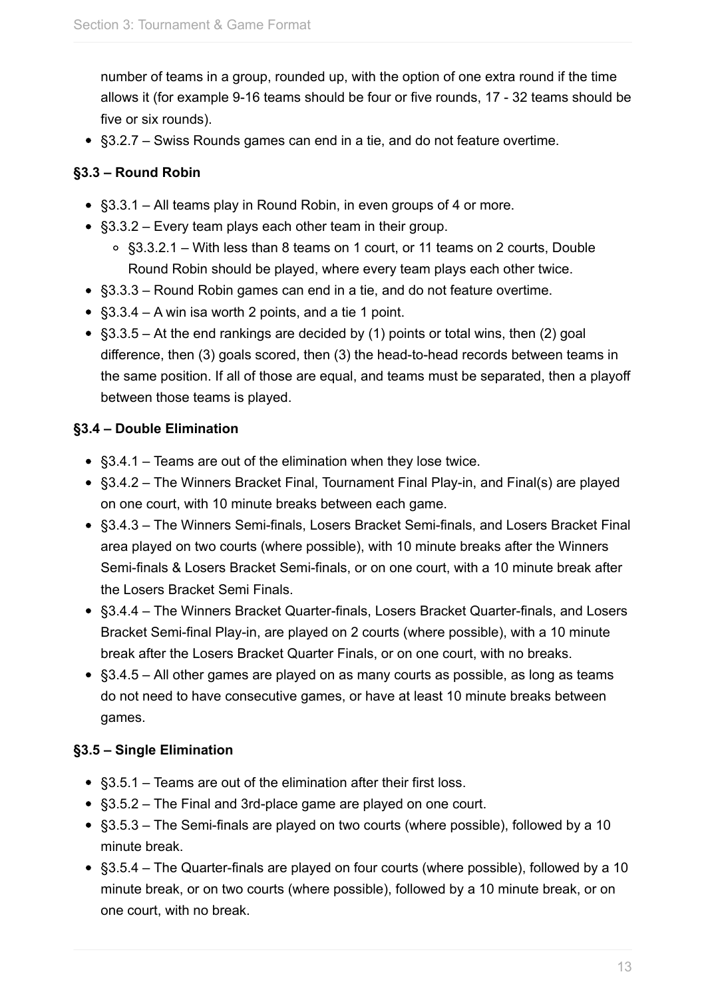number of teams in a group, rounded up, with the option of one extra round if the time allows it (for example 9-16 teams should be four or five rounds, 17 - 32 teams should be five or six rounds).

• §3.2.7 – Swiss Rounds games can end in a tie, and do not feature overtime.

## **§3.3 – Round Robin**

- §3.3.1 All teams play in Round Robin, in even groups of 4 or more.
- §3.3.2 Every team plays each other team in their group.
	- §3.3.2.1 With less than 8 teams on 1 court, or 11 teams on 2 courts, Double Round Robin should be played, where every team plays each other twice.
- §3.3.3 Round Robin games can end in a tie, and do not feature overtime.
- §3.3.4 A win isa worth 2 points, and a tie 1 point.
- §3.3.5 At the end rankings are decided by (1) points or total wins, then (2) goal difference, then (3) goals scored, then (3) the head-to-head records between teams in the same position. If all of those are equal, and teams must be separated, then a playoff between those teams is played.

## **§3.4 – Double Elimination**

- §3.4.1 Teams are out of the elimination when they lose twice.
- §3.4.2 The Winners Bracket Final, Tournament Final Play-in, and Final(s) are played on one court, with 10 minute breaks between each game.
- §3.4.3 The Winners Semi-finals, Losers Bracket Semi-finals, and Losers Bracket Final area played on two courts (where possible), with 10 minute breaks after the Winners Semi-finals & Losers Bracket Semi-finals, or on one court, with a 10 minute break after the Losers Bracket Semi Finals.
- §3.4.4 The Winners Bracket Quarter-finals, Losers Bracket Quarter-finals, and Losers Bracket Semi-final Play-in, are played on 2 courts (where possible), with a 10 minute break after the Losers Bracket Quarter Finals, or on one court, with no breaks.
- §3.4.5 All other games are played on as many courts as possible, as long as teams do not need to have consecutive games, or have at least 10 minute breaks between games.

## **§3.5 – Single Elimination**

- §3.5.1 Teams are out of the elimination after their first loss.
- §3.5.2 The Final and 3rd-place game are played on one court.
- §3.5.3 The Semi-finals are played on two courts (where possible), followed by a 10 minute break.
- §3.5.4 The Quarter-finals are played on four courts (where possible), followed by a 10 minute break, or on two courts (where possible), followed by a 10 minute break, or on one court, with no break.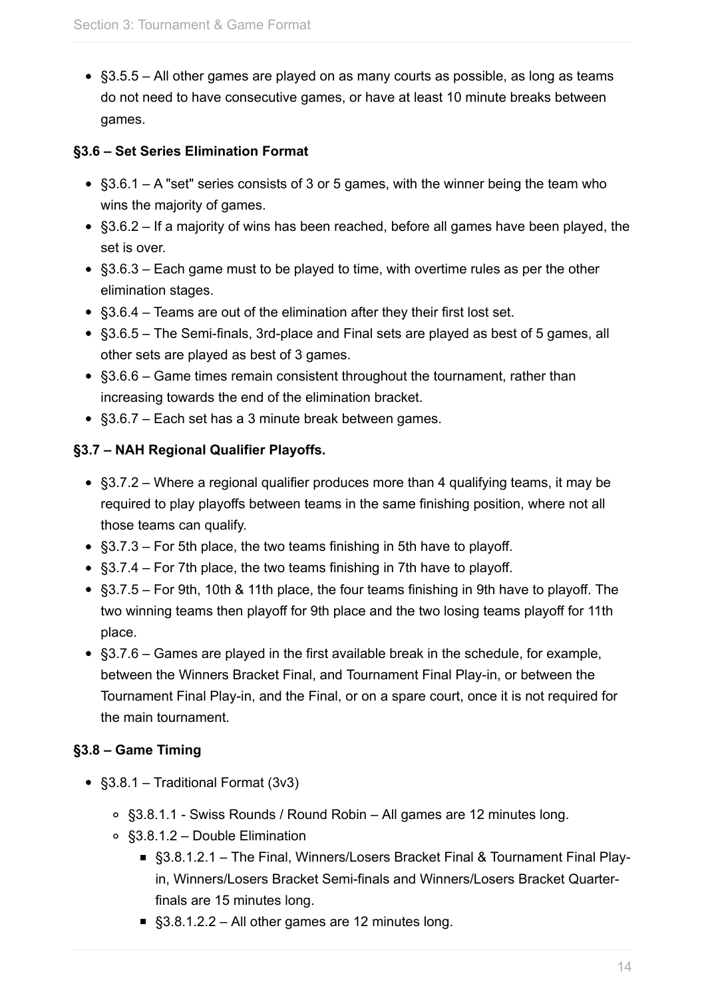§3.5.5 – All other games are played on as many courts as possible, as long as teams do not need to have consecutive games, or have at least 10 minute breaks between games.

#### **§3.6 – Set Series Elimination Format**

- §3.6.1 A "set" series consists of 3 or 5 games, with the winner being the team who wins the majority of games.
- §3.6.2 If a majority of wins has been reached, before all games have been played, the set is over.
- §3.6.3 Each game must to be played to time, with overtime rules as per the other elimination stages.
- §3.6.4 Teams are out of the elimination after they their first lost set.
- §3.6.5 The Semi-finals, 3rd-place and Final sets are played as best of 5 games, all other sets are played as best of 3 games.
- §3.6.6 Game times remain consistent throughout the tournament, rather than increasing towards the end of the elimination bracket.
- §3.6.7 Each set has a 3 minute break between games.

## **§3.7 – NAH Regional Qualifier Playoffs.**

- §3.7.2 Where a regional qualifier produces more than 4 qualifying teams, it may be required to play playoffs between teams in the same finishing position, where not all those teams can qualify.
- §3.7.3 For 5th place, the two teams finishing in 5th have to playoff.
- §3.7.4 For 7th place, the two teams finishing in 7th have to playoff.
- §3.7.5 For 9th, 10th & 11th place, the four teams finishing in 9th have to playoff. The two winning teams then playoff for 9th place and the two losing teams playoff for 11th place.
- §3.7.6 Games are played in the first available break in the schedule, for example, between the Winners Bracket Final, and Tournament Final Play-in, or between the Tournament Final Play-in, and the Final, or on a spare court, once it is not required for the main tournament.

## **§3.8 – Game Timing**

- §3.8.1 Traditional Format (3v3)
	- §3.8.1.1 Swiss Rounds / Round Robin All games are 12 minutes long.
	- §3.8.1.2 Double Elimination
		- §3.8.1.2.1 The Final, Winners/Losers Bracket Final & Tournament Final Playin, Winners/Losers Bracket Semi-finals and Winners/Losers Bracket Quarterfinals are 15 minutes long.
		- §3.8.1.2.2 All other games are 12 minutes long.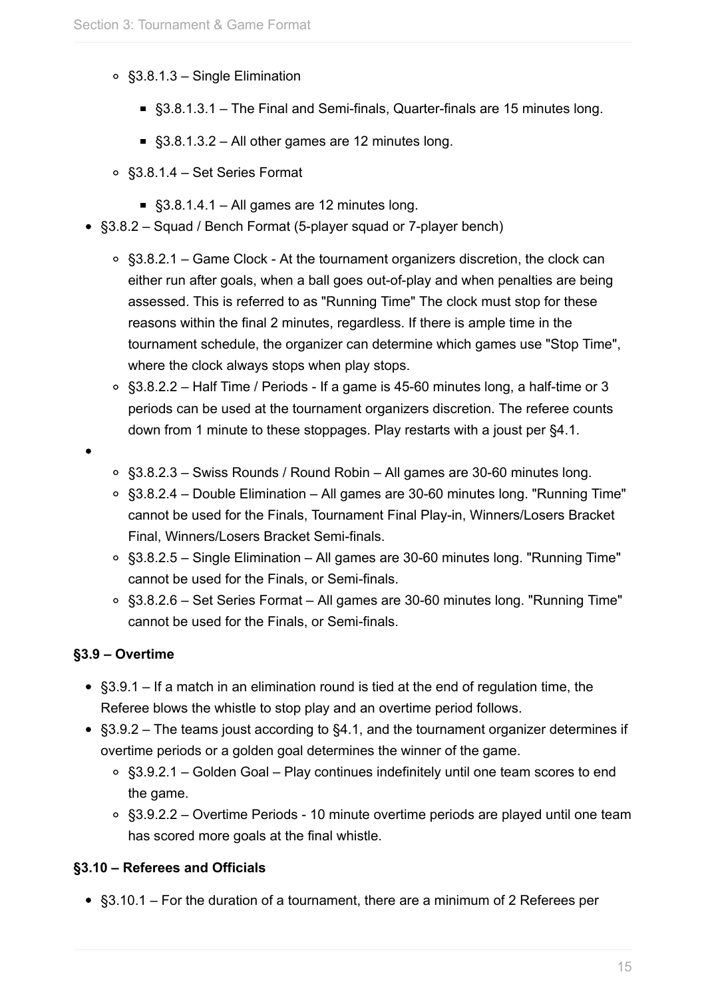- §3.8.1.3 Single Elimination
	- §3.8.1.3.1 The Final and Semi-finals, Quarter-finals are 15 minutes long.
	- §3.8.1.3.2 All other games are 12 minutes long.
- §3.8.1.4 Set Series Format
	- $§3.8.1.4.1 All names are 12 minutes long.$
- §3.8.2 Squad / Bench Format (5-player squad or 7-player bench)
	- $\circ$  §3.8.2.1 Game Clock At the tournament organizers discretion, the clock can either run after goals, when a ball goes out-of-play and when penalties are being assessed. This is referred to as "Running Time" The clock must stop for these reasons within the final 2 minutes, regardless. If there is ample time in the tournament schedule, the organizer can determine which games use "Stop Time", where the clock always stops when play stops.
	- §3.8.2.2 Half Time / Periods If a game is 45-60 minutes long, a half-time or 3 periods can be used at the tournament organizers discretion. The referee counts down from 1 minute to these stoppages. Play restarts with a joust per §4.1.
- 
- §3.8.2.3 Swiss Rounds / Round Robin All games are 30-60 minutes long.
- §3.8.2.4 Double Elimination All games are 30-60 minutes long. "Running Time" cannot be used for the Finals, Tournament Final Play-in, Winners/Losers Bracket Final, Winners/Losers Bracket Semi-finals.
- §3.8.2.5 Single Elimination All games are 30-60 minutes long. "Running Time" cannot be used for the Finals, or Semi-finals.
- §3.8.2.6 Set Series Format All games are 30-60 minutes long. "Running Time" cannot be used for the Finals, or Semi-finals.

#### **§3.9 – Overtime**

- §3.9.1 If a match in an elimination round is tied at the end of regulation time, the Referee blows the whistle to stop play and an overtime period follows.
- §3.9.2 The teams joust according to §4.1, and the tournament organizer determines if overtime periods or a golden goal determines the winner of the game.
	- $\circ$  §3.9.2.1 Golden Goal Play continues indefinitely until one team scores to end the game.
	- §3.9.2.2 Overtime Periods 10 minute overtime periods are played until one team has scored more goals at the final whistle.

#### **§3.10 – Referees and Officials**

§3.10.1 – For the duration of a tournament, there are a minimum of 2 Referees per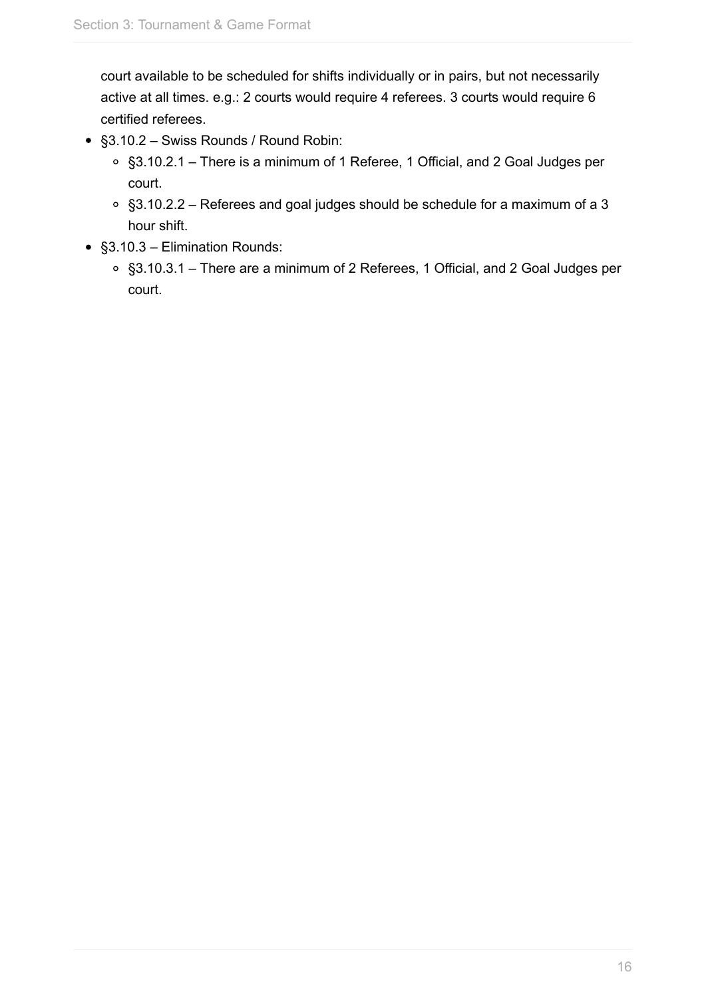court available to be scheduled for shifts individually or in pairs, but not necessarily active at all times. e.g.: 2 courts would require 4 referees. 3 courts would require 6 certified referees.

- §3.10.2 Swiss Rounds / Round Robin:
	- §3.10.2.1 There is a minimum of 1 Referee, 1 Official, and 2 Goal Judges per court.
	- §3.10.2.2 Referees and goal judges should be schedule for a maximum of a 3 hour shift.
- §3.10.3 Elimination Rounds:
	- §3.10.3.1 There are a minimum of 2 Referees, 1 Official, and 2 Goal Judges per court.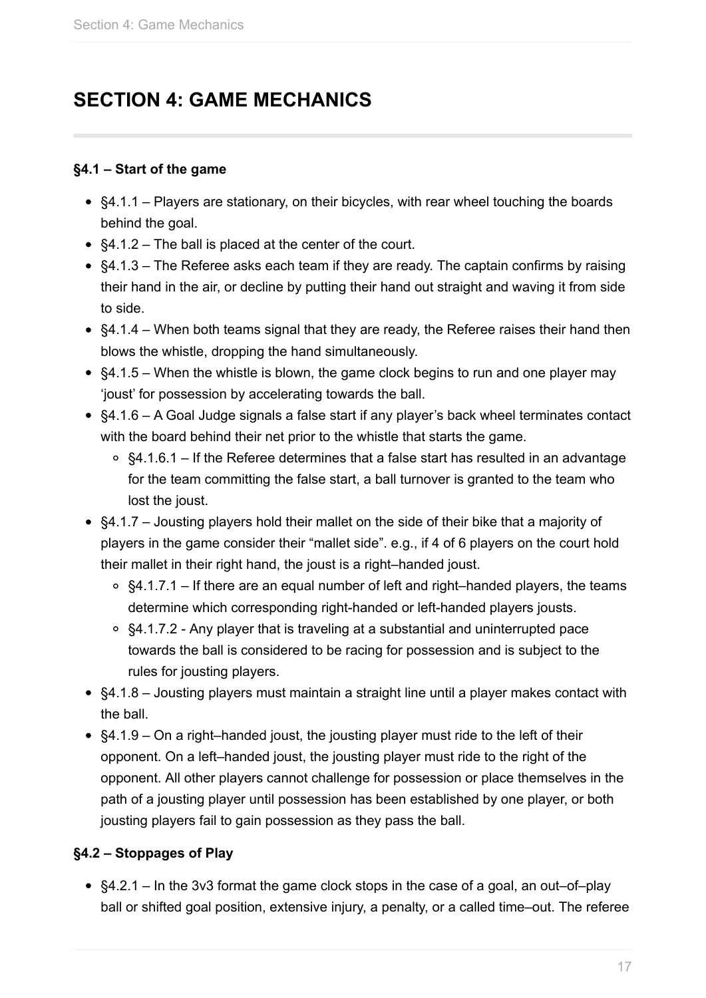## <span id="page-16-0"></span>**SECTION 4: GAME MECHANICS**

#### **§4.1 – Start of the game**

- §4.1.1 Players are stationary, on their bicycles, with rear wheel touching the boards behind the goal.
- §4.1.2 The ball is placed at the center of the court.
- §4.1.3 The Referee asks each team if they are ready. The captain confirms by raising their hand in the air, or decline by putting their hand out straight and waving it from side to side.
- §4.1.4 When both teams signal that they are ready, the Referee raises their hand then blows the whistle, dropping the hand simultaneously.
- §4.1.5 When the whistle is blown, the game clock begins to run and one player may 'joust' for possession by accelerating towards the ball.
- §4.1.6 A Goal Judge signals a false start if any player's back wheel terminates contact with the board behind their net prior to the whistle that starts the game.
	- $\circ$  §4.1.6.1 If the Referee determines that a false start has resulted in an advantage for the team committing the false start, a ball turnover is granted to the team who lost the joust.
- §4.1.7 Jousting players hold their mallet on the side of their bike that a majority of players in the game consider their "mallet side". e.g., if 4 of 6 players on the court hold their mallet in their right hand, the joust is a right–handed joust.
	- $\circ$  §4.1.7.1 If there are an equal number of left and right–handed players, the teams determine which corresponding right-handed or left-handed players jousts.
	- $\circ$  §4.1.7.2 Any player that is traveling at a substantial and uninterrupted pace towards the ball is considered to be racing for possession and is subject to the rules for jousting players.
- §4.1.8 Jousting players must maintain a straight line until a player makes contact with the ball.
- §4.1.9 On a right–handed joust, the jousting player must ride to the left of their opponent. On a left–handed joust, the jousting player must ride to the right of the opponent. All other players cannot challenge for possession or place themselves in the path of a jousting player until possession has been established by one player, or both jousting players fail to gain possession as they pass the ball.

## **§4.2 – Stoppages of Play**

§4.2.1 – In the 3v3 format the game clock stops in the case of a goal, an out–of–play ball or shifted goal position, extensive injury, a penalty, or a called time–out. The referee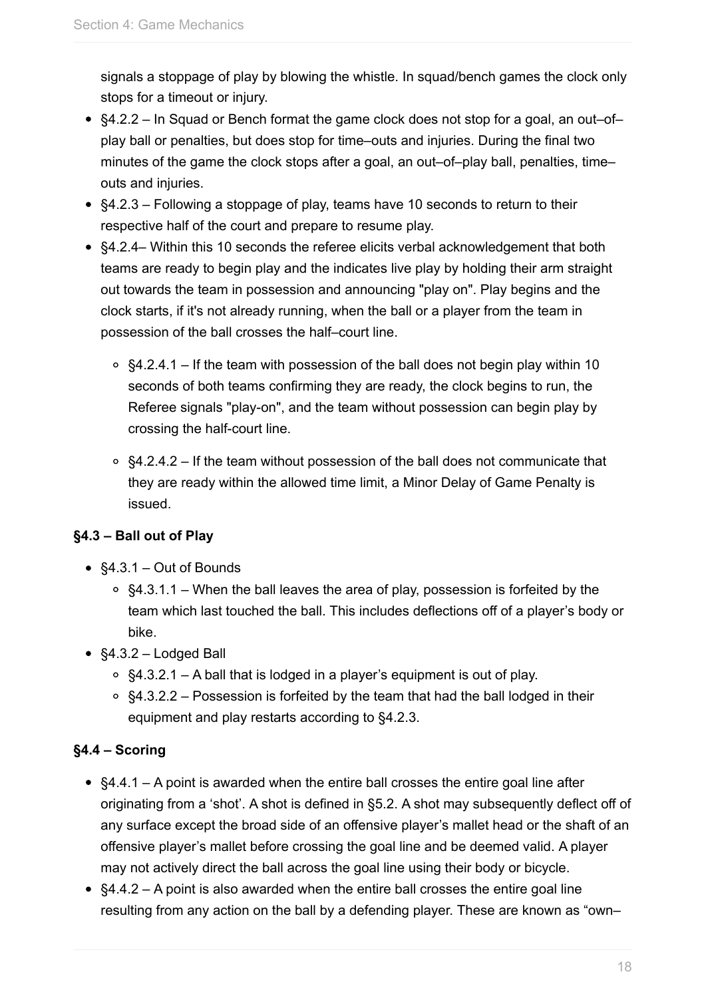signals a stoppage of play by blowing the whistle. In squad/bench games the clock only stops for a timeout or injury.

- §4.2.2 In Squad or Bench format the game clock does not stop for a goal, an out–of– play ball or penalties, but does stop for time–outs and injuries. During the final two minutes of the game the clock stops after a goal, an out–of–play ball, penalties, time– outs and injuries.
- §4.2.3 Following a stoppage of play, teams have 10 seconds to return to their respective half of the court and prepare to resume play.
- §4.2.4– Within this 10 seconds the referee elicits verbal acknowledgement that both teams are ready to begin play and the indicates live play by holding their arm straight out towards the team in possession and announcing "play on". Play begins and the clock starts, if it's not already running, when the ball or a player from the team in possession of the ball crosses the half–court line.
	- $\circ$  §4.2.4.1 If the team with possession of the ball does not begin play within 10 seconds of both teams confirming they are ready, the clock begins to run, the Referee signals "play-on", and the team without possession can begin play by crossing the half-court line.
	- $\circ$  §4.2.4.2 If the team without possession of the ball does not communicate that they are ready within the allowed time limit, a Minor Delay of Game Penalty is issued.

## **§4.3 – Ball out of Play**

- §4.3.1 Out of Bounds
	- $\circ$  §4.3.1.1 When the ball leaves the area of play, possession is forfeited by the team which last touched the ball. This includes deflections off of a player's body or bike.
- §4.3.2 Lodged Ball
	- §4.3.2.1 A ball that is lodged in a player's equipment is out of play.
	- $\circ$  §4.3.2.2 Possession is forfeited by the team that had the ball lodged in their equipment and play restarts according to §4.2.3.

## **§4.4 – Scoring**

- §4.4.1 A point is awarded when the entire ball crosses the entire goal line after originating from a 'shot'. A shot is defined in §5.2. A shot may subsequently deflect off of any surface except the broad side of an offensive player's mallet head or the shaft of an offensive player's mallet before crossing the goal line and be deemed valid. A player may not actively direct the ball across the goal line using their body or bicycle.
- §4.4.2 A point is also awarded when the entire ball crosses the entire goal line resulting from any action on the ball by a defending player. These are known as "own–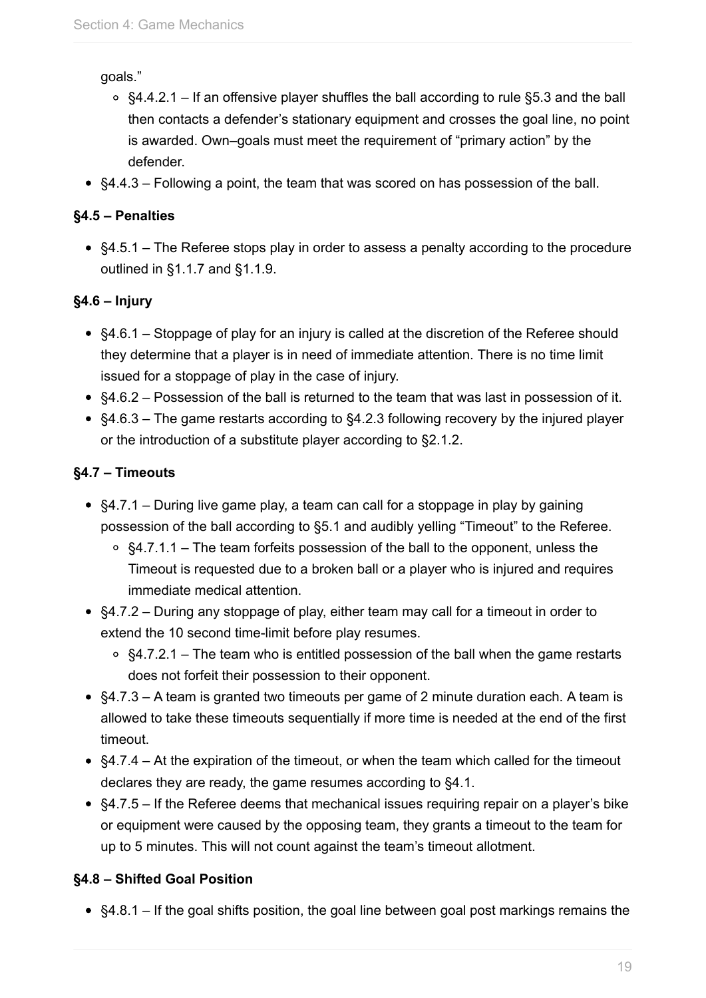goals."

- $\degree$  §4.4.2.1 If an offensive player shuffles the ball according to rule §5.3 and the ball then contacts a defender's stationary equipment and crosses the goal line, no point is awarded. Own–goals must meet the requirement of "primary action" by the defender.
- §4.4.3 Following a point, the team that was scored on has possession of the ball.

## **§4.5 – Penalties**

§4.5.1 – The Referee stops play in order to assess a penalty according to the procedure outlined in §1.1.7 and §1.1.9.

## **§4.6 – Injury**

- §4.6.1 Stoppage of play for an injury is called at the discretion of the Referee should they determine that a player is in need of immediate attention. There is no time limit issued for a stoppage of play in the case of injury.
- §4.6.2 Possession of the ball is returned to the team that was last in possession of it.
- §4.6.3 The game restarts according to §4.2.3 following recovery by the injured player or the introduction of a substitute player according to §2.1.2.

## **§4.7 – Timeouts**

- §4.7.1 During live game play, a team can call for a stoppage in play by gaining possession of the ball according to §5.1 and audibly yelling "Timeout" to the Referee.
	- §4.7.1.1 The team forfeits possession of the ball to the opponent, unless the Timeout is requested due to a broken ball or a player who is injured and requires immediate medical attention.
- §4.7.2 During any stoppage of play, either team may call for a timeout in order to extend the 10 second time-limit before play resumes.
	- $\circ$  §4.7.2.1 The team who is entitled possession of the ball when the game restarts does not forfeit their possession to their opponent.
- §4.7.3 A team is granted two timeouts per game of 2 minute duration each. A team is allowed to take these timeouts sequentially if more time is needed at the end of the first timeout.
- $§4.7.4 At$  the expiration of the timeout, or when the team which called for the timeout declares they are ready, the game resumes according to §4.1.
- §4.7.5 If the Referee deems that mechanical issues requiring repair on a player's bike or equipment were caused by the opposing team, they grants a timeout to the team for up to 5 minutes. This will not count against the team's timeout allotment.

## **§4.8 – Shifted Goal Position**

§4.8.1 – If the goal shifts position, the goal line between goal post markings remains the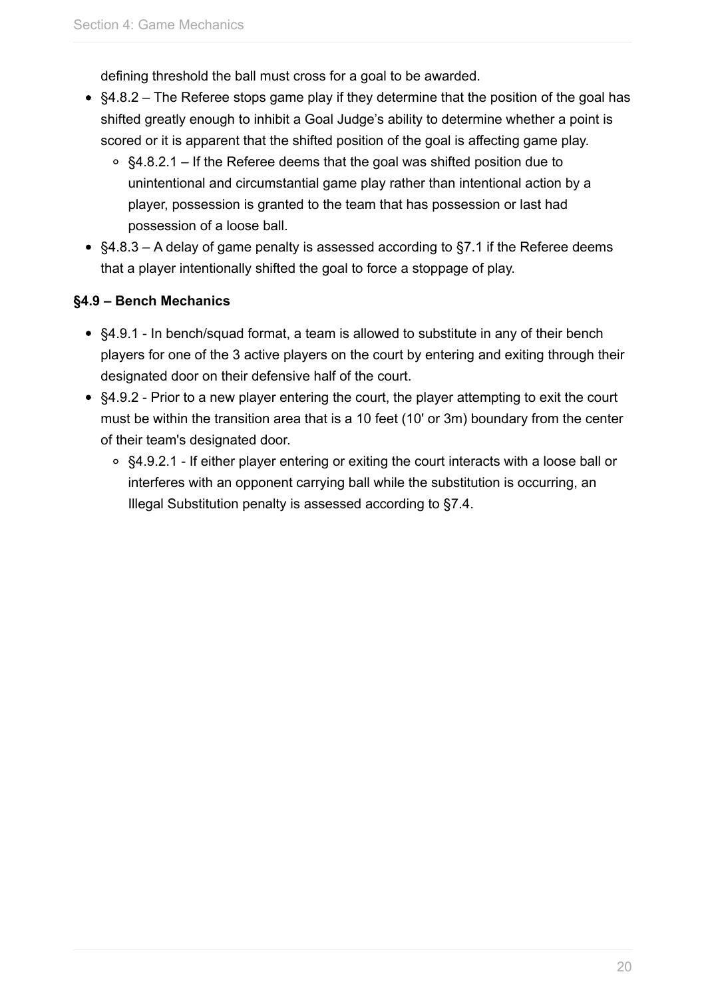defining threshold the ball must cross for a goal to be awarded.

- §4.8.2 The Referee stops game play if they determine that the position of the goal has shifted greatly enough to inhibit a Goal Judge's ability to determine whether a point is scored or it is apparent that the shifted position of the goal is affecting game play.
	- $\circ$  §4.8.2.1 If the Referee deems that the goal was shifted position due to unintentional and circumstantial game play rather than intentional action by a player, possession is granted to the team that has possession or last had possession of a loose ball.
- §4.8.3 A delay of game penalty is assessed according to §7.1 if the Referee deems that a player intentionally shifted the goal to force a stoppage of play.

#### **§4.9 – Bench Mechanics**

- §4.9.1 In bench/squad format, a team is allowed to substitute in any of their bench players for one of the 3 active players on the court by entering and exiting through their designated door on their defensive half of the court.
- §4.9.2 Prior to a new player entering the court, the player attempting to exit the court must be within the transition area that is a 10 feet (10' or 3m) boundary from the center of their team's designated door.
	- §4.9.2.1 If either player entering or exiting the court interacts with a loose ball or interferes with an opponent carrying ball while the substitution is occurring, an Illegal Substitution penalty is assessed according to §7.4.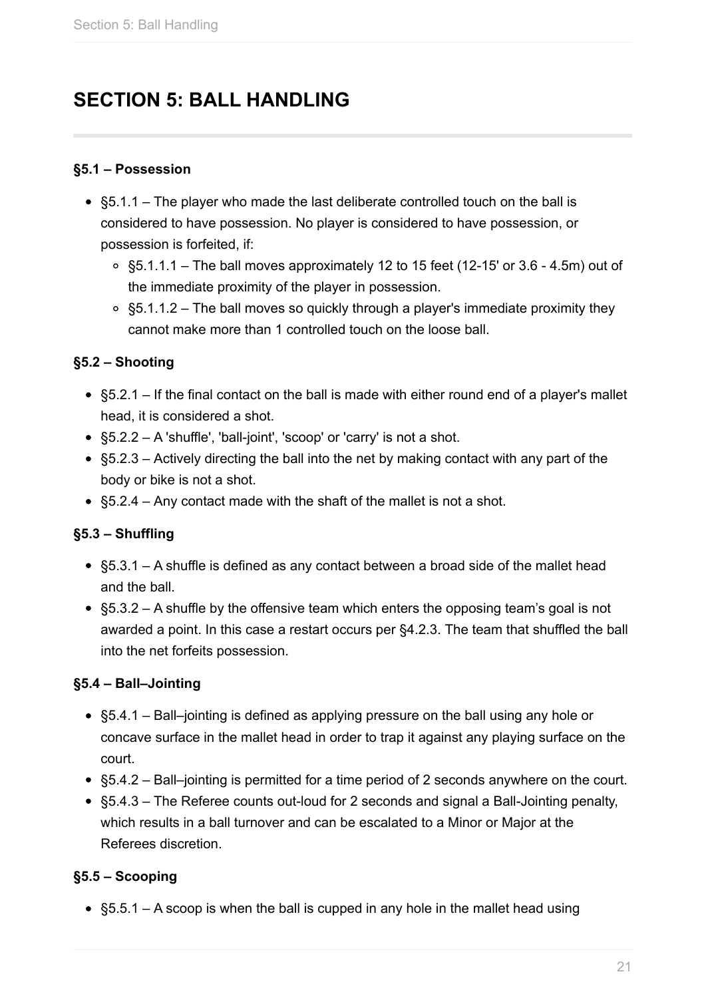## <span id="page-20-0"></span>**SECTION 5: BALL HANDLING**

#### **§5.1 – Possession**

- $\bullet$  §5.1.1 The player who made the last deliberate controlled touch on the ball is considered to have possession. No player is considered to have possession, or possession is forfeited, if:
	- $\circ$  §5.1.1.1 The ball moves approximately 12 to 15 feet (12-15' or 3.6 4.5m) out of the immediate proximity of the player in possession.
	- $\circ$  §5.1.1.2 The ball moves so quickly through a player's immediate proximity they cannot make more than 1 controlled touch on the loose ball.

#### **§5.2 – Shooting**

- §5.2.1 If the final contact on the ball is made with either round end of a player's mallet head, it is considered a shot.
- §5.2.2 A 'shuffle', 'ball-joint', 'scoop' or 'carry' is not a shot.
- §5.2.3 Actively directing the ball into the net by making contact with any part of the body or bike is not a shot.
- §5.2.4 Any contact made with the shaft of the mallet is not a shot.

#### **§5.3 – Shuffling**

- §5.3.1 A shuffle is defined as any contact between a broad side of the mallet head and the ball.
- $§5.3.2 A$  shuffle by the offensive team which enters the opposing team's goal is not awarded a point. In this case a restart occurs per §4.2.3. The team that shuffled the ball into the net forfeits possession.

#### **§5.4 – Ball–Jointing**

- §5.4.1 Ball–jointing is defined as applying pressure on the ball using any hole or concave surface in the mallet head in order to trap it against any playing surface on the court.
- §5.4.2 Ball–jointing is permitted for a time period of 2 seconds anywhere on the court.
- §5.4.3 The Referee counts out-loud for 2 seconds and signal a Ball-Jointing penalty, which results in a ball turnover and can be escalated to a Minor or Major at the Referees discretion.

#### **§5.5 – Scooping**

§5.5.1 – A scoop is when the ball is cupped in any hole in the mallet head using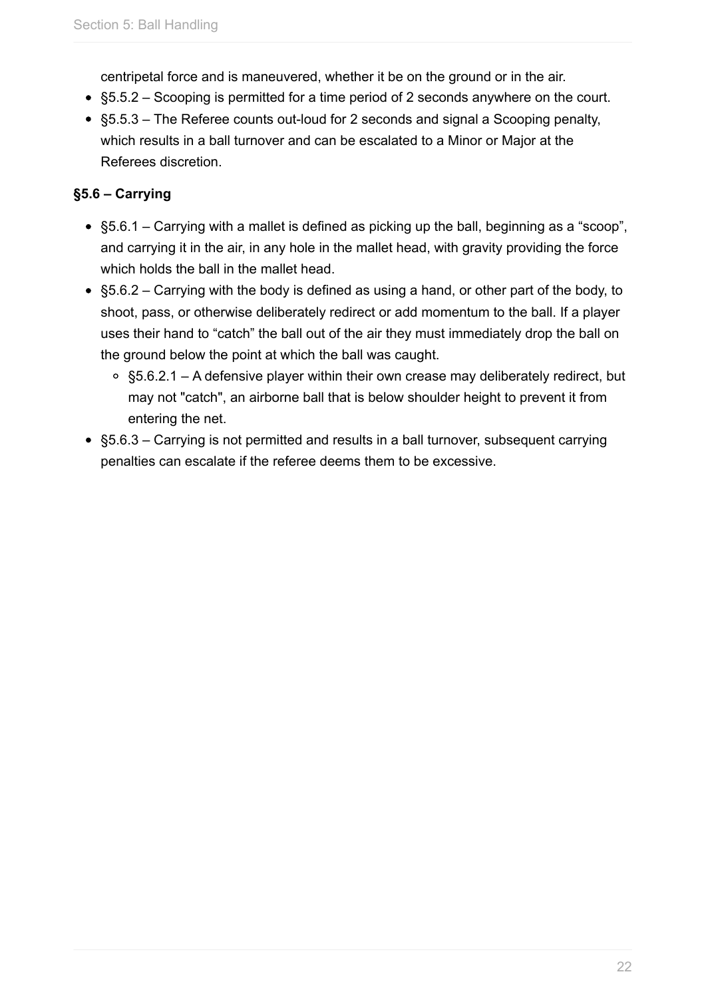centripetal force and is maneuvered, whether it be on the ground or in the air.

- §5.5.2 Scooping is permitted for a time period of 2 seconds anywhere on the court.
- §5.5.3 The Referee counts out-loud for 2 seconds and signal a Scooping penalty, which results in a ball turnover and can be escalated to a Minor or Major at the Referees discretion.

## **§5.6 – Carrying**

- §5.6.1 Carrying with a mallet is defined as picking up the ball, beginning as a "scoop", and carrying it in the air, in any hole in the mallet head, with gravity providing the force which holds the ball in the mallet head.
- §5.6.2 Carrying with the body is defined as using a hand, or other part of the body, to shoot, pass, or otherwise deliberately redirect or add momentum to the ball. If a player uses their hand to "catch" the ball out of the air they must immediately drop the ball on the ground below the point at which the ball was caught.
	- §5.6.2.1 A defensive player within their own crease may deliberately redirect, but may not "catch", an airborne ball that is below shoulder height to prevent it from entering the net.
- §5.6.3 Carrying is not permitted and results in a ball turnover, subsequent carrying penalties can escalate if the referee deems them to be excessive.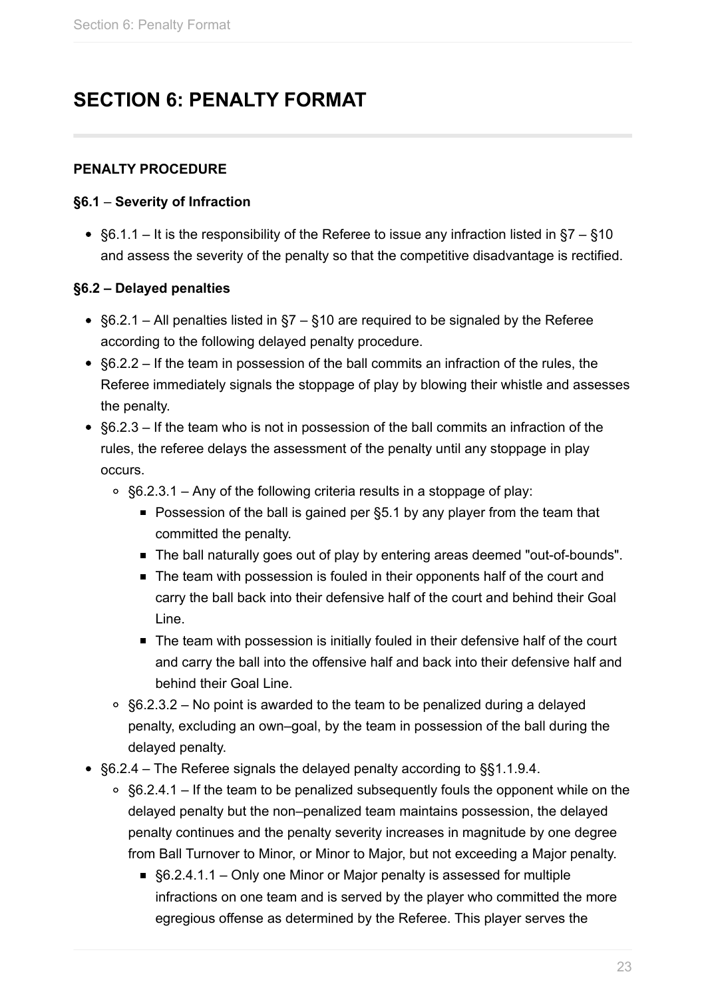## <span id="page-22-0"></span>**SECTION 6: PENALTY FORMAT**

#### **PENALTY PROCEDURE**

#### **§6.1** – **Severity of Infraction**

•  $§6.1.1 - It$  is the responsibility of the Referee to issue any infraction listed in  $§7 - §10$ and assess the severity of the penalty so that the competitive disadvantage is rectified.

#### **§6.2 – Delayed penalties**

- §6.2.1 All penalties listed in §7 §10 are required to be signaled by the Referee according to the following delayed penalty procedure.
- §6.2.2 If the team in possession of the ball commits an infraction of the rules, the Referee immediately signals the stoppage of play by blowing their whistle and assesses the penalty.
- §6.2.3 If the team who is not in possession of the ball commits an infraction of the rules, the referee delays the assessment of the penalty until any stoppage in play occurs.
	- $\circ$  §6.2.3.1 Any of the following criteria results in a stoppage of play:
		- Possession of the ball is gained per §5.1 by any player from the team that committed the penalty.
		- The ball naturally goes out of play by entering areas deemed "out-of-bounds".
		- The team with possession is fouled in their opponents half of the court and carry the ball back into their defensive half of the court and behind their Goal Line.
		- The team with possession is initially fouled in their defensive half of the court and carry the ball into the offensive half and back into their defensive half and behind their Goal Line.
	- $\circ$  §6.2.3.2 No point is awarded to the team to be penalized during a delayed penalty, excluding an own–goal, by the team in possession of the ball during the delayed penalty.
- §6.2.4 The Referee signals the delayed penalty according to §§1.1.9.4.
	- $\circ$  §6.2.4.1 If the team to be penalized subsequently fouls the opponent while on the delayed penalty but the non–penalized team maintains possession, the delayed penalty continues and the penalty severity increases in magnitude by one degree from Ball Turnover to Minor, or Minor to Major, but not exceeding a Major penalty.
		- §6.2.4.1.1 Only one Minor or Maior penalty is assessed for multiple infractions on one team and is served by the player who committed the more egregious offense as determined by the Referee. This player serves the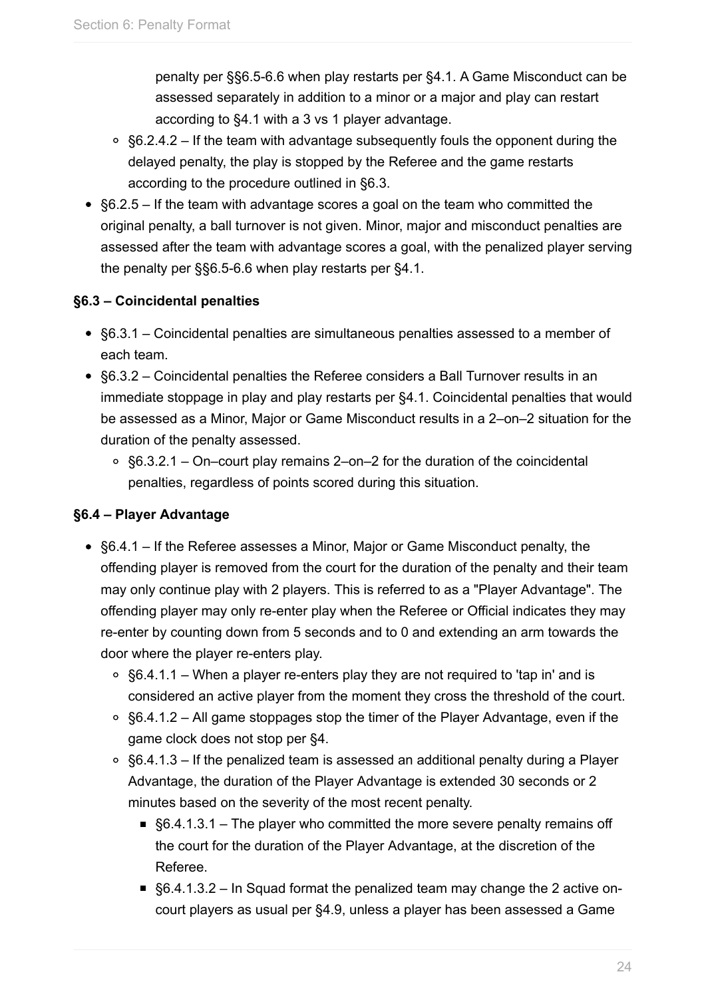penalty per §§6.5-6.6 when play restarts per §4.1. A Game Misconduct can be assessed separately in addition to a minor or a major and play can restart according to §4.1 with a 3 vs 1 player advantage.

- $\degree$  §6.2.4.2 If the team with advantage subsequently fouls the opponent during the delayed penalty, the play is stopped by the Referee and the game restarts according to the procedure outlined in §6.3.
- $§6.2.5 If the team with advantage scores a goal on the team who committed the$ original penalty, a ball turnover is not given. Minor, major and misconduct penalties are assessed after the team with advantage scores a goal, with the penalized player serving the penalty per §§6.5-6.6 when play restarts per §4.1.

## **§6.3 – Coincidental penalties**

- §6.3.1 Coincidental penalties are simultaneous penalties assessed to a member of each team.
- §6.3.2 Coincidental penalties the Referee considers a Ball Turnover results in an immediate stoppage in play and play restarts per §4.1. Coincidental penalties that would be assessed as a Minor, Major or Game Misconduct results in a 2–on–2 situation for the duration of the penalty assessed.
	- §6.3.2.1 On–court play remains 2–on–2 for the duration of the coincidental penalties, regardless of points scored during this situation.

## **§6.4 – Player Advantage**

- §6.4.1 If the Referee assesses a Minor, Major or Game Misconduct penalty, the offending player is removed from the court for the duration of the penalty and their team may only continue play with 2 players. This is referred to as a "Player Advantage". The offending player may only re-enter play when the Referee or Official indicates they may re-enter by counting down from 5 seconds and to 0 and extending an arm towards the door where the player re-enters play.
	- §6.4.1.1 When a player re-enters play they are not required to 'tap in' and is considered an active player from the moment they cross the threshold of the court.
	- $\circ$  §6.4.1.2 All game stoppages stop the timer of the Player Advantage, even if the game clock does not stop per §4.
	- $\circ$  §6.4.1.3 If the penalized team is assessed an additional penalty during a Player Advantage, the duration of the Player Advantage is extended 30 seconds or 2 minutes based on the severity of the most recent penalty.
		- §6.4.1.3.1 The player who committed the more severe penalty remains off the court for the duration of the Player Advantage, at the discretion of the Referee.
		- §6.4.1.3.2 In Squad format the penalized team may change the 2 active oncourt players as usual per §4.9, unless a player has been assessed a Game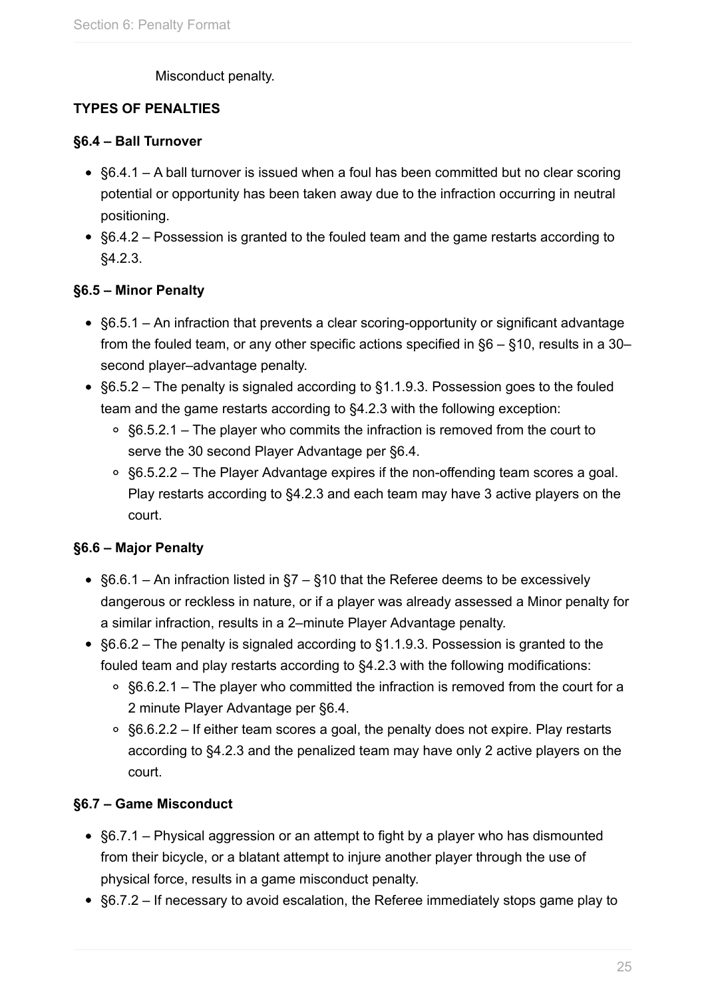#### Misconduct penalty.

## **TYPES OF PENALTIES**

#### **§6.4 – Ball Turnover**

- §6.4.1 A ball turnover is issued when a foul has been committed but no clear scoring potential or opportunity has been taken away due to the infraction occurring in neutral positioning.
- §6.4.2 Possession is granted to the fouled team and the game restarts according to §4.2.3.

#### **§6.5 – Minor Penalty**

- §6.5.1 An infraction that prevents a clear scoring-opportunity or significant advantage from the fouled team, or any other specific actions specified in §6 – §10, results in a 30– second player–advantage penalty.
- §6.5.2 The penalty is signaled according to §1.1.9.3. Possession goes to the fouled team and the game restarts according to §4.2.3 with the following exception:
	- $\circ$  §6.5.2.1 The player who commits the infraction is removed from the court to serve the 30 second Player Advantage per §6.4.
	- §6.5.2.2 The Player Advantage expires if the non-offending team scores a goal. Play restarts according to §4.2.3 and each team may have 3 active players on the court.

#### **§6.6 – Major Penalty**

- §6.6.1 An infraction listed in §7 §10 that the Referee deems to be excessively dangerous or reckless in nature, or if a player was already assessed a Minor penalty for a similar infraction, results in a 2–minute Player Advantage penalty.
- §6.6.2 The penalty is signaled according to §1.1.9.3. Possession is granted to the fouled team and play restarts according to §4.2.3 with the following modifications:
	- §6.6.2.1 The player who committed the infraction is removed from the court for a 2 minute Player Advantage per §6.4.
	- §6.6.2.2 If either team scores a goal, the penalty does not expire. Play restarts according to §4.2.3 and the penalized team may have only 2 active players on the court.

#### **§6.7 – Game Misconduct**

- §6.7.1 Physical aggression or an attempt to fight by a player who has dismounted from their bicycle, or a blatant attempt to injure another player through the use of physical force, results in a game misconduct penalty.
- §6.7.2 If necessary to avoid escalation, the Referee immediately stops game play to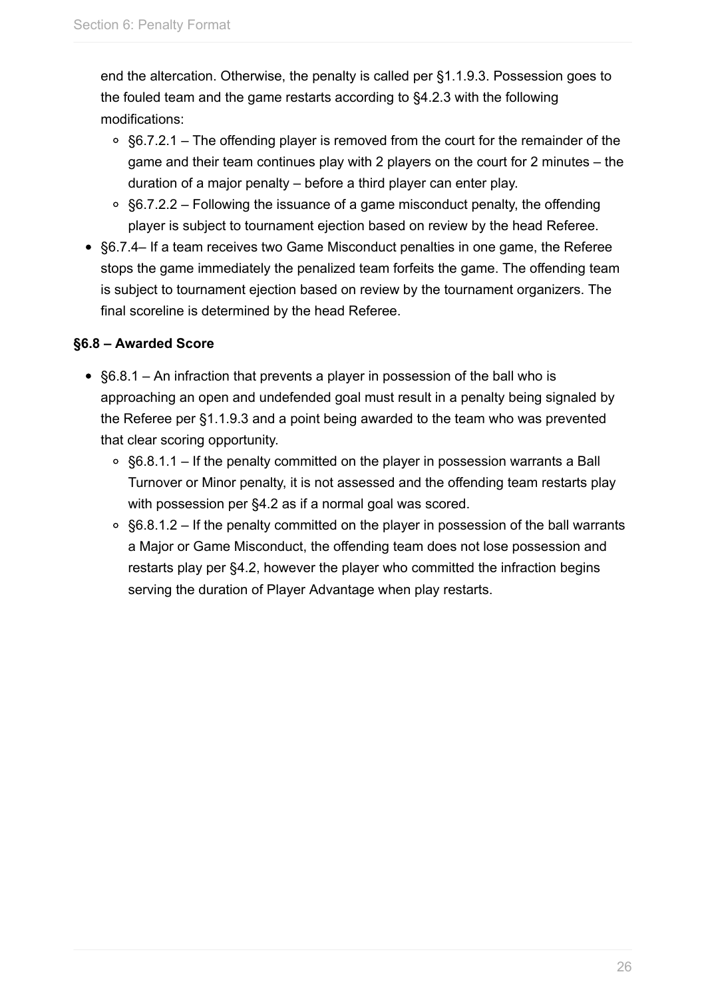end the altercation. Otherwise, the penalty is called per §1.1.9.3. Possession goes to the fouled team and the game restarts according to §4.2.3 with the following modifications:

- $\degree$  §6.7.2.1 The offending player is removed from the court for the remainder of the game and their team continues play with 2 players on the court for 2 minutes – the duration of a major penalty – before a third player can enter play.
- §6.7.2.2 Following the issuance of a game misconduct penalty, the offending player is subject to tournament ejection based on review by the head Referee.
- §6.7.4– If a team receives two Game Misconduct penalties in one game, the Referee stops the game immediately the penalized team forfeits the game. The offending team is subject to tournament ejection based on review by the tournament organizers. The final scoreline is determined by the head Referee.

## **§6.8 – Awarded Score**

- §6.8.1 An infraction that prevents a player in possession of the ball who is approaching an open and undefended goal must result in a penalty being signaled by the Referee per §1.1.9.3 and a point being awarded to the team who was prevented that clear scoring opportunity.
	- §6.8.1.1 If the penalty committed on the player in possession warrants a Ball Turnover or Minor penalty, it is not assessed and the offending team restarts play with possession per §4.2 as if a normal goal was scored.
	- $\circ$  §6.8.1.2 If the penalty committed on the player in possession of the ball warrants a Major or Game Misconduct, the offending team does not lose possession and restarts play per §4.2, however the player who committed the infraction begins serving the duration of Player Advantage when play restarts.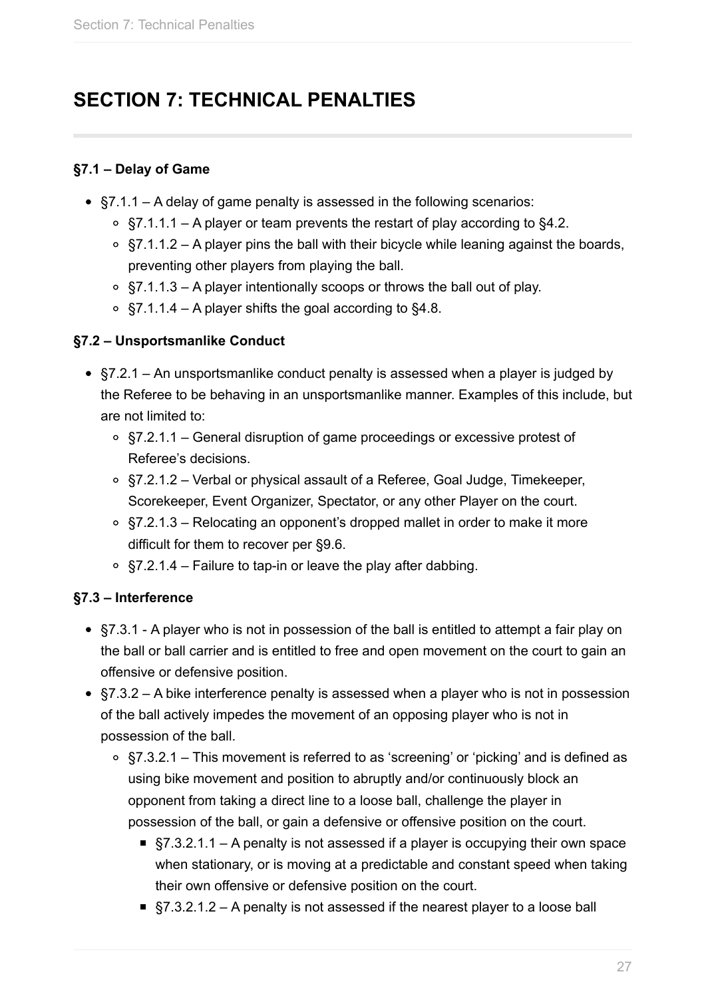## <span id="page-26-0"></span>**SECTION 7: TECHNICAL PENALTIES**

## **§7.1 – Delay of Game**

- $\bullet$  §7.1.1 A delay of game penalty is assessed in the following scenarios:
	- $\circ$  §7.1.1.1 A player or team prevents the restart of play according to §4.2.
	- $\circ$  §7.1.1.2 A player pins the ball with their bicycle while leaning against the boards, preventing other players from playing the ball.
	- §7.1.1.3 A player intentionally scoops or throws the ball out of play.
	- $\circ$  §7.1.1.4 A player shifts the goal according to §4.8.

## **§7.2 – Unsportsmanlike Conduct**

- §7.2.1 An unsportsmanlike conduct penalty is assessed when a player is judged by the Referee to be behaving in an unsportsmanlike manner. Examples of this include, but are not limited to:
	- §7.2.1.1 General disruption of game proceedings or excessive protest of Referee's decisions.
	- §7.2.1.2 Verbal or physical assault of a Referee, Goal Judge, Timekeeper, Scorekeeper, Event Organizer, Spectator, or any other Player on the court.
	- §7.2.1.3 Relocating an opponent's dropped mallet in order to make it more difficult for them to recover per §9.6.
	- $\circ$  §7.2.1.4 Failure to tap-in or leave the play after dabbing.

## **§7.3 – Interference**

- §7.3.1 A player who is not in possession of the ball is entitled to attempt a fair play on the ball or ball carrier and is entitled to free and open movement on the court to gain an offensive or defensive position.
- $§7.3.2 A$  bike interference penalty is assessed when a player who is not in possession of the ball actively impedes the movement of an opposing player who is not in possession of the ball.
	- §7.3.2.1 This movement is referred to as 'screening' or 'picking' and is defined as using bike movement and position to abruptly and/or continuously block an opponent from taking a direct line to a loose ball, challenge the player in possession of the ball, or gain a defensive or offensive position on the court.
		- $§7.3.2.1.1 A$  penalty is not assessed if a player is occupying their own space when stationary, or is moving at a predictable and constant speed when taking their own offensive or defensive position on the court.
		- $§7.3.2.1.2 A$  penalty is not assessed if the nearest player to a loose ball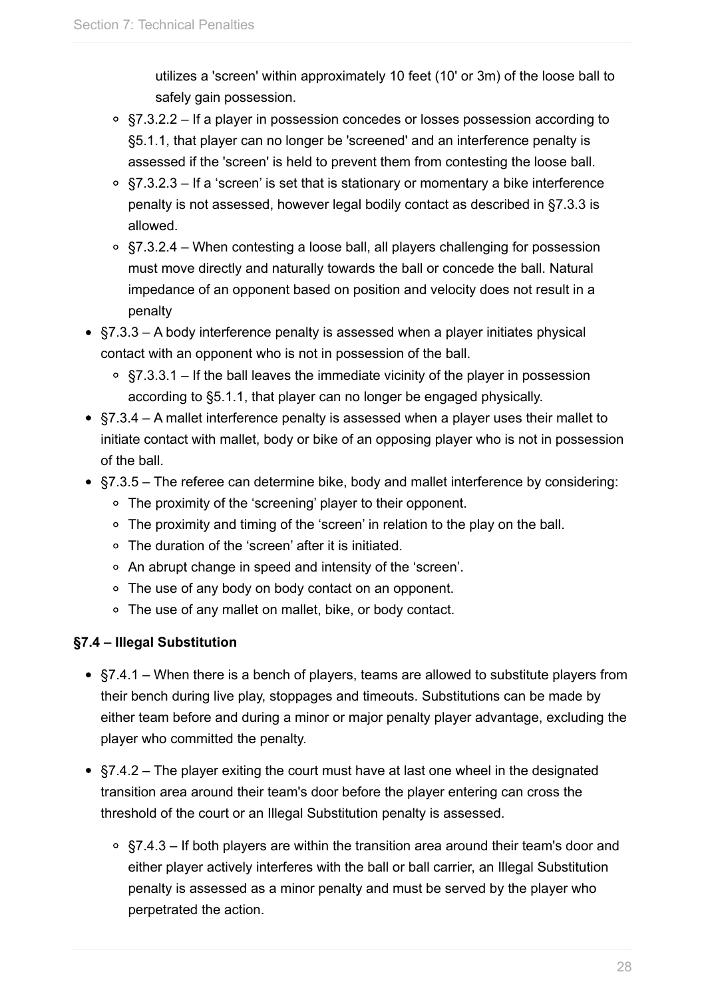utilizes a 'screen' within approximately 10 feet (10' or 3m) of the loose ball to safely gain possession.

- $\degree$  §7.3.2.2 If a player in possession concedes or losses possession according to §5.1.1, that player can no longer be 'screened' and an interference penalty is assessed if the 'screen' is held to prevent them from contesting the loose ball.
- $\circ$  §7.3.2.3 If a 'screen' is set that is stationary or momentary a bike interference penalty is not assessed, however legal bodily contact as described in §7.3.3 is allowed.
- §7.3.2.4 When contesting a loose ball, all players challenging for possession must move directly and naturally towards the ball or concede the ball. Natural impedance of an opponent based on position and velocity does not result in a penalty
- $$7.3.3 A$  body interference penalty is assessed when a player initiates physical contact with an opponent who is not in possession of the ball.
	- $\circ$  §7.3.3.1 If the ball leaves the immediate vicinity of the player in possession according to §5.1.1, that player can no longer be engaged physically.
- §7.3.4 A mallet interference penalty is assessed when a player uses their mallet to initiate contact with mallet, body or bike of an opposing player who is not in possession of the ball.
- §7.3.5 The referee can determine bike, body and mallet interference by considering:
	- The proximity of the 'screening' player to their opponent.
	- The proximity and timing of the 'screen' in relation to the play on the ball.
	- The duration of the 'screen' after it is initiated.
	- An abrupt change in speed and intensity of the 'screen'.
	- The use of any body on body contact on an opponent.
	- The use of any mallet on mallet, bike, or body contact.

## **§7.4 – Illegal Substitution**

- §7.4.1 When there is a bench of players, teams are allowed to substitute players from their bench during live play, stoppages and timeouts. Substitutions can be made by either team before and during a minor or major penalty player advantage, excluding the player who committed the penalty.
- §7.4.2 The player exiting the court must have at last one wheel in the designated transition area around their team's door before the player entering can cross the threshold of the court or an Illegal Substitution penalty is assessed.
	- §7.4.3 If both players are within the transition area around their team's door and either player actively interferes with the ball or ball carrier, an Illegal Substitution penalty is assessed as a minor penalty and must be served by the player who perpetrated the action.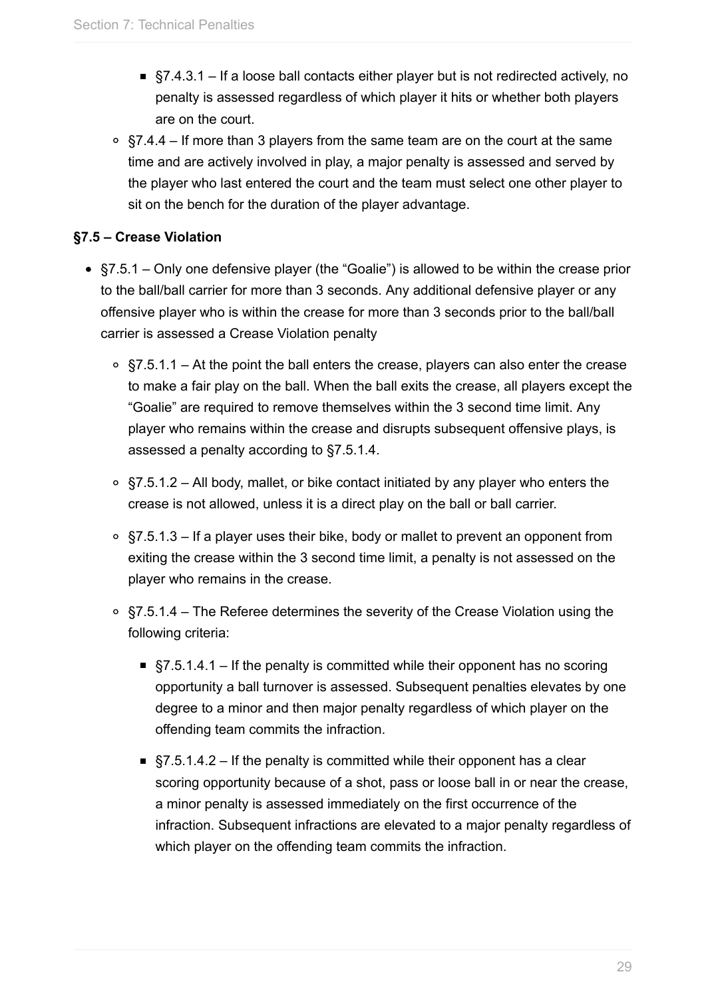- $\blacksquare$  §7.4.3.1 If a loose ball contacts either player but is not redirected actively, no penalty is assessed regardless of which player it hits or whether both players are on the court.
- $\degree$  §7.4.4 If more than 3 players from the same team are on the court at the same time and are actively involved in play, a major penalty is assessed and served by the player who last entered the court and the team must select one other player to sit on the bench for the duration of the player advantage.

### **§7.5 – Crease Violation**

- §7.5.1 Only one defensive player (the "Goalie") is allowed to be within the crease prior to the ball/ball carrier for more than 3 seconds. Any additional defensive player or any offensive player who is within the crease for more than 3 seconds prior to the ball/ball carrier is assessed a Crease Violation penalty
	- $\circ$  §7.5.1.1 At the point the ball enters the crease, players can also enter the crease to make a fair play on the ball. When the ball exits the crease, all players except the "Goalie" are required to remove themselves within the 3 second time limit. Any player who remains within the crease and disrupts subsequent offensive plays, is assessed a penalty according to §7.5.1.4.
	- §7.5.1.2 All body, mallet, or bike contact initiated by any player who enters the crease is not allowed, unless it is a direct play on the ball or ball carrier.
	- §7.5.1.3 If a player uses their bike, body or mallet to prevent an opponent from exiting the crease within the 3 second time limit, a penalty is not assessed on the player who remains in the crease.
	- §7.5.1.4 The Referee determines the severity of the Crease Violation using the following criteria:
		- $§7.5.1.4.1 If the penalty is committed while their opponent has no scoring$ opportunity a ball turnover is assessed. Subsequent penalties elevates by one degree to a minor and then major penalty regardless of which player on the offending team commits the infraction.
		- §7.5.1.4.2 If the penalty is committed while their opponent has a clear scoring opportunity because of a shot, pass or loose ball in or near the crease, a minor penalty is assessed immediately on the first occurrence of the infraction. Subsequent infractions are elevated to a major penalty regardless of which player on the offending team commits the infraction.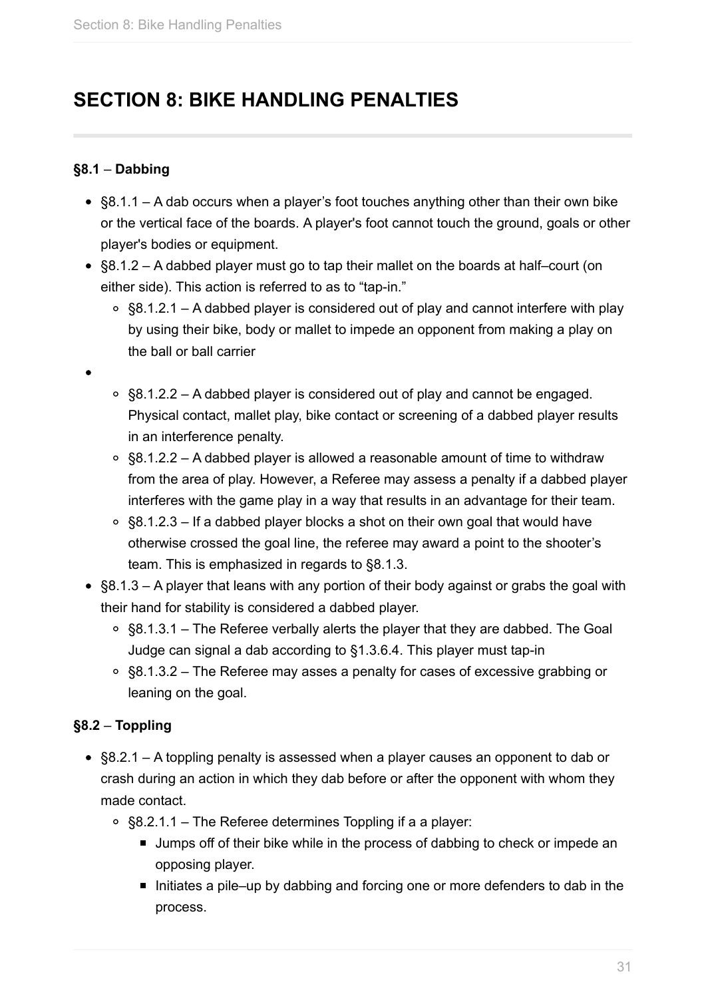## <span id="page-30-0"></span>**SECTION 8: BIKE HANDLING PENALTIES**

### **§8.1** – **Dabbing**

- §8.1.1 A dab occurs when a player's foot touches anything other than their own bike or the vertical face of the boards. A player's foot cannot touch the ground, goals or other player's bodies or equipment.
- §8.1.2 A dabbed player must go to tap their mallet on the boards at half–court (on either side). This action is referred to as to "tap-in."
	- $\circ$  §8.1.2.1 A dabbed player is considered out of play and cannot interfere with play by using their bike, body or mallet to impede an opponent from making a play on the ball or ball carrier
- 
- §8.1.2.2 A dabbed player is considered out of play and cannot be engaged. Physical contact, mallet play, bike contact or screening of a dabbed player results in an interference penalty.
- §8.1.2.2 A dabbed player is allowed a reasonable amount of time to withdraw from the area of play. However, a Referee may assess a penalty if a dabbed player interferes with the game play in a way that results in an advantage for their team.
- §8.1.2.3 If a dabbed player blocks a shot on their own goal that would have otherwise crossed the goal line, the referee may award a point to the shooter's team. This is emphasized in regards to §8.1.3.
- §8.1.3 A player that leans with any portion of their body against or grabs the goal with their hand for stability is considered a dabbed player.
	- $\circ$  §8.1.3.1 The Referee verbally alerts the player that they are dabbed. The Goal Judge can signal a dab according to §1.3.6.4. This player must tap-in
	- §8.1.3.2 The Referee may asses a penalty for cases of excessive grabbing or leaning on the goal.

## **§8.2** – **Toppling**

- §8.2.1 A toppling penalty is assessed when a player causes an opponent to dab or crash during an action in which they dab before or after the opponent with whom they made contact.
	- §8.2.1.1 The Referee determines Toppling if a a player:
		- **Jumps off of their bike while in the process of dabbing to check or impede an** opposing player.
		- Initiates a pile–up by dabbing and forcing one or more defenders to dab in the process.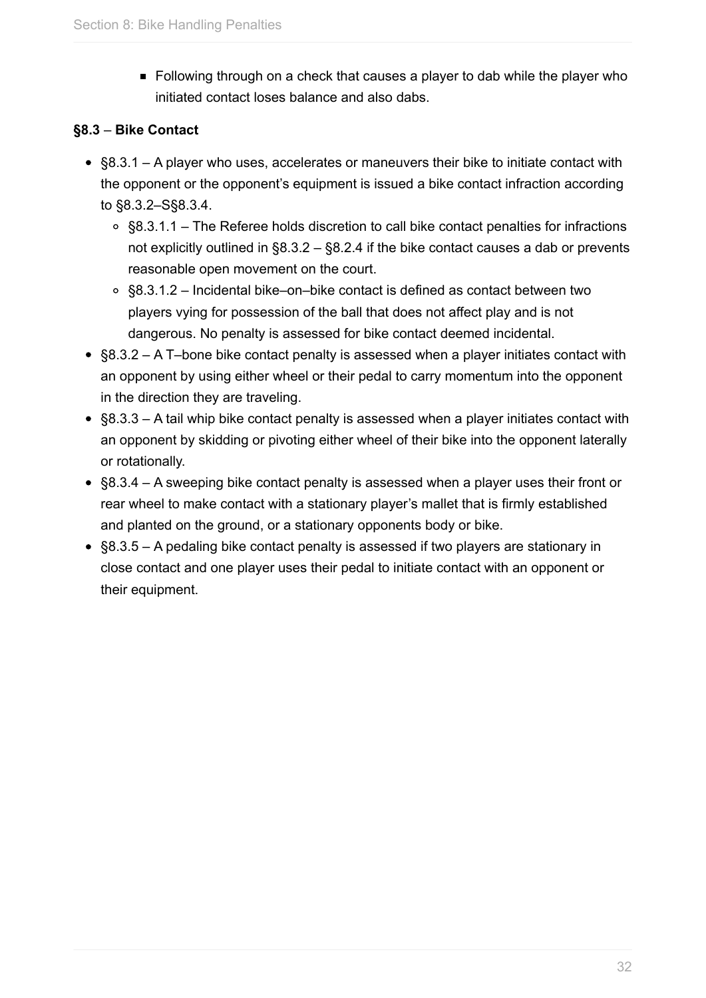Following through on a check that causes a player to dab while the player who initiated contact loses balance and also dabs.

## **§8.3** – **Bike Contact**

- $\bullet$  §8.3.1 A player who uses, accelerates or maneuvers their bike to initiate contact with the opponent or the opponent's equipment is issued a bike contact infraction according to §8.3.2–S§8.3.4.
	- §8.3.1.1 The Referee holds discretion to call bike contact penalties for infractions not explicitly outlined in §8.3.2 – §8.2.4 if the bike contact causes a dab or prevents reasonable open movement on the court.
	- §8.3.1.2 Incidental bike–on–bike contact is defined as contact between two players vying for possession of the ball that does not affect play and is not dangerous. No penalty is assessed for bike contact deemed incidental.
- §8.3.2 A T–bone bike contact penalty is assessed when a player initiates contact with an opponent by using either wheel or their pedal to carry momentum into the opponent in the direction they are traveling.
- §8.3.3 A tail whip bike contact penalty is assessed when a player initiates contact with an opponent by skidding or pivoting either wheel of their bike into the opponent laterally or rotationally.
- §8.3.4 A sweeping bike contact penalty is assessed when a player uses their front or rear wheel to make contact with a stationary player's mallet that is firmly established and planted on the ground, or a stationary opponents body or bike.
- §8.3.5 A pedaling bike contact penalty is assessed if two players are stationary in close contact and one player uses their pedal to initiate contact with an opponent or their equipment.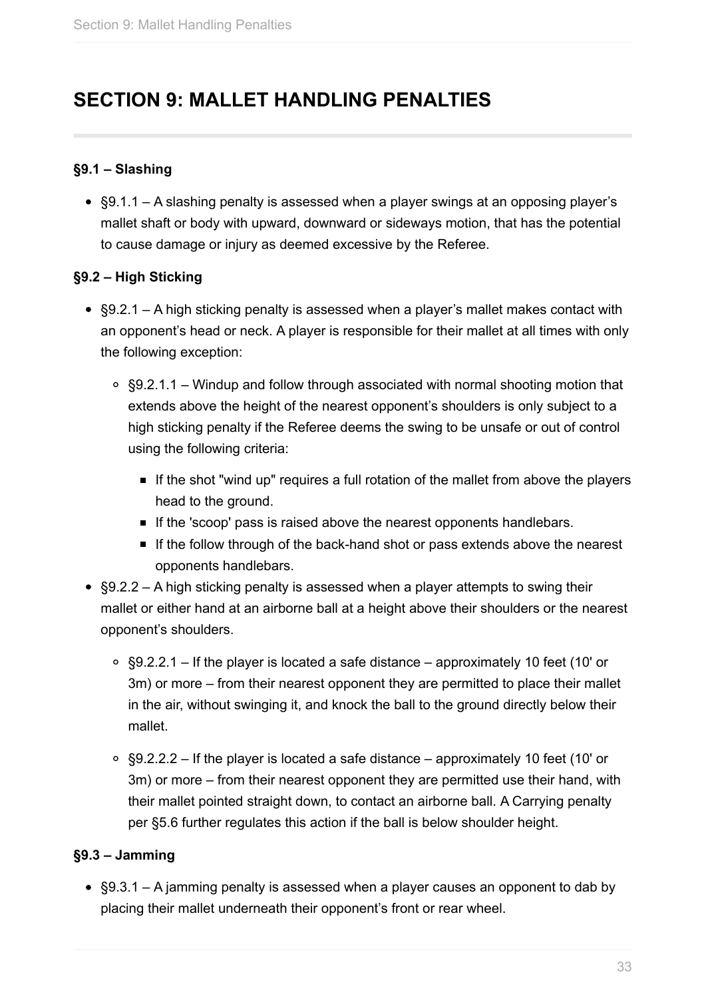## **SECTION 9: MALLET HANDLING PENALTIES**

#### **§9.1 – Slashing**

• §9.1.1 – A slashing penalty is assessed when a player swings at an opposing player's mallet shaft or body with upward, downward or sideways motion, that has the potential to cause damage or injury as deemed excessive by the Referee.

#### **§9.2 – High Sticking**

- §9.2.1 A high sticking penalty is assessed when a player's mallet makes contact with an opponent's head or neck. A player is responsible for their mallet at all times with only the following exception:
	- §9.2.1.1 Windup and follow through associated with normal shooting motion that extends above the height of the nearest opponent's shoulders is only subject to a high sticking penalty if the Referee deems the swing to be unsafe or out of control using the following criteria:
		- If the shot "wind up" requires a full rotation of the mallet from above the players head to the ground.
		- If the 'scoop' pass is raised above the nearest opponents handlebars.
		- If the follow through of the back-hand shot or pass extends above the nearest opponents handlebars.
- §9.2.2 A high sticking penalty is assessed when a player attempts to swing their mallet or either hand at an airborne ball at a height above their shoulders or the nearest opponent's shoulders.
	- §9.2.2.1 If the player is located a safe distance approximately 10 feet (10' or 3m) or more – from their nearest opponent they are permitted to place their mallet in the air, without swinging it, and knock the ball to the ground directly below their mallet.
	- $\degree$  §9.2.2.2 If the player is located a safe distance approximately 10 feet (10' or 3m) or more – from their nearest opponent they are permitted use their hand, with their mallet pointed straight down, to contact an airborne ball. A Carrying penalty per §5.6 further regulates this action if the ball is below shoulder height.

## **§9.3 – Jamming**

§9.3.1 – A jamming penalty is assessed when a player causes an opponent to dab by placing their mallet underneath their opponent's front or rear wheel.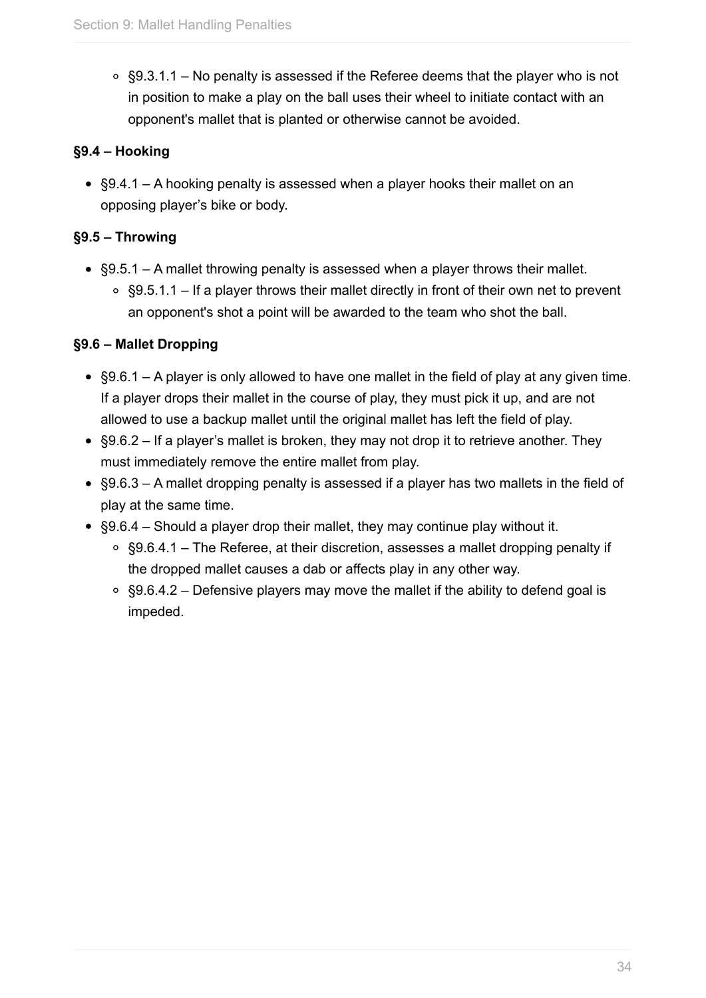$\circ$  §9.3.1.1 – No penalty is assessed if the Referee deems that the player who is not in position to make a play on the ball uses their wheel to initiate contact with an opponent's mallet that is planted or otherwise cannot be avoided.

### **§9.4 – Hooking**

§9.4.1 – A hooking penalty is assessed when a player hooks their mallet on an opposing player's bike or body.

## **§9.5 – Throwing**

- §9.5.1 A mallet throwing penalty is assessed when a player throws their mallet.
	- §9.5.1.1 If a player throws their mallet directly in front of their own net to prevent an opponent's shot a point will be awarded to the team who shot the ball.

## **§9.6 – Mallet Dropping**

- §9.6.1 A player is only allowed to have one mallet in the field of play at any given time. If a player drops their mallet in the course of play, they must pick it up, and are not allowed to use a backup mallet until the original mallet has left the field of play.
- §9.6.2 If a player's mallet is broken, they may not drop it to retrieve another. They must immediately remove the entire mallet from play.
- §9.6.3 A mallet dropping penalty is assessed if a player has two mallets in the field of play at the same time.
- §9.6.4 Should a player drop their mallet, they may continue play without it.
	- §9.6.4.1 The Referee, at their discretion, assesses a mallet dropping penalty if the dropped mallet causes a dab or affects play in any other way.
	- $\circ$  §9.6.4.2 Defensive players may move the mallet if the ability to defend goal is impeded.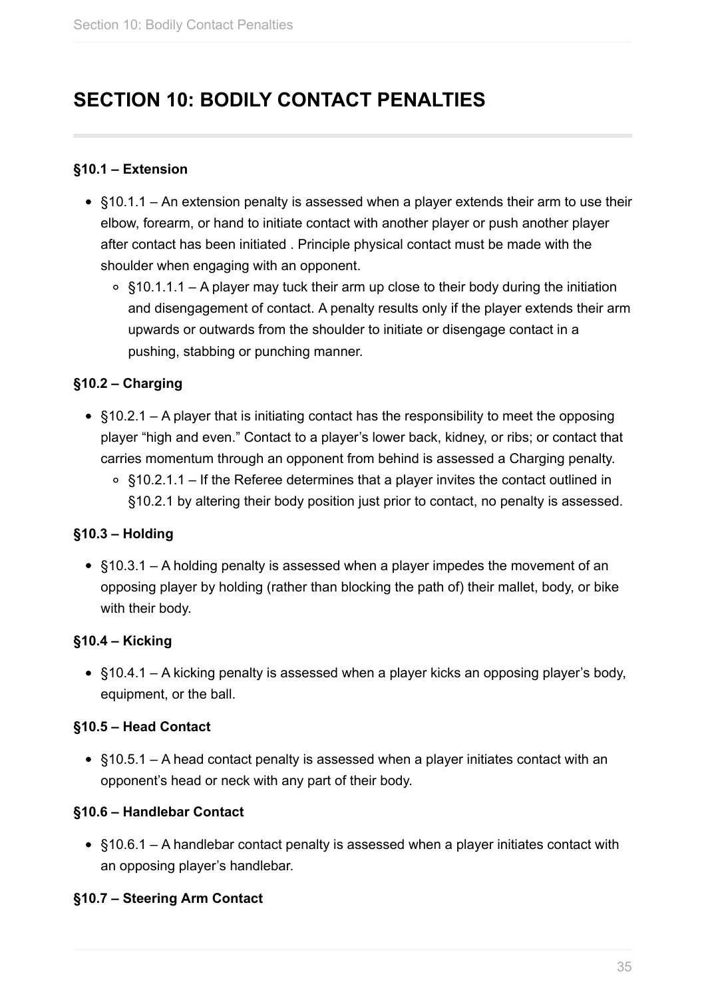## <span id="page-34-0"></span>**SECTION 10: BODILY CONTACT PENALTIES**

#### **§10.1 – Extension**

- §10.1.1 An extension penalty is assessed when a player extends their arm to use their elbow, forearm, or hand to initiate contact with another player or push another player after contact has been initiated . Principle physical contact must be made with the shoulder when engaging with an opponent.
	- $\circ$  §10.1.1.1 A player may tuck their arm up close to their body during the initiation and disengagement of contact. A penalty results only if the player extends their arm upwards or outwards from the shoulder to initiate or disengage contact in a pushing, stabbing or punching manner.

#### **§10.2 – Charging**

- §10.2.1 A player that is initiating contact has the responsibility to meet the opposing player "high and even." Contact to a player's lower back, kidney, or ribs; or contact that carries momentum through an opponent from behind is assessed a Charging penalty.
	- §10.2.1.1 If the Referee determines that a player invites the contact outlined in §10.2.1 by altering their body position just prior to contact, no penalty is assessed.

#### **§10.3 – Holding**

§10.3.1 – A holding penalty is assessed when a player impedes the movement of an opposing player by holding (rather than blocking the path of) their mallet, body, or bike with their body.

#### **§10.4 – Kicking**

§10.4.1 – A kicking penalty is assessed when a player kicks an opposing player's body, equipment, or the ball.

#### **§10.5 – Head Contact**

§10.5.1 – A head contact penalty is assessed when a player initiates contact with an opponent's head or neck with any part of their body.

#### **§10.6 – Handlebar Contact**

§10.6.1 – A handlebar contact penalty is assessed when a player initiates contact with an opposing player's handlebar.

#### **§10.7 – Steering Arm Contact**